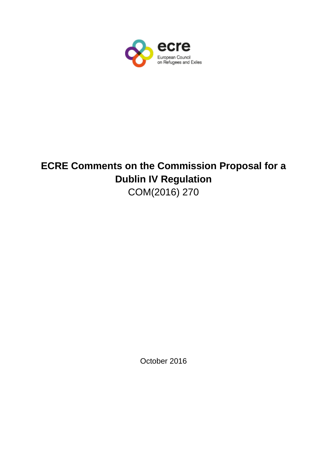

# **ECRE Comments on the Commission Proposal for a Dublin IV Regulation**  COM(2016) 270

October 2016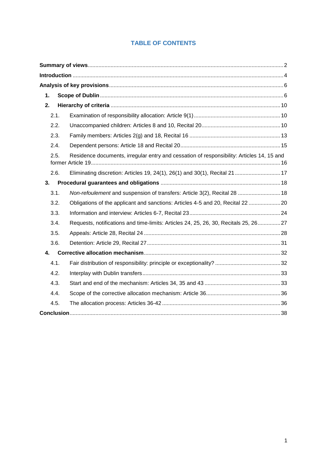## **TABLE OF CONTENTS**

| 1.   |                                                                                           |  |
|------|-------------------------------------------------------------------------------------------|--|
| 2.   |                                                                                           |  |
| 2.1. |                                                                                           |  |
| 2.2. |                                                                                           |  |
| 2.3. |                                                                                           |  |
| 2.4. |                                                                                           |  |
| 2.5. | Residence documents, irregular entry and cessation of responsibility: Articles 14, 15 and |  |
| 2.6. | Eliminating discretion: Articles 19, 24(1), 26(1) and 30(1), Recital 21  17               |  |
| 3.   |                                                                                           |  |
| 3.1. | Non-refoulement and suspension of transfers: Article 3(2), Recital 28  18                 |  |
| 3.2. | Obligations of the applicant and sanctions: Articles 4-5 and 20, Recital 22 20            |  |
| 3.3. |                                                                                           |  |
| 3.4. | Requests, notifications and time-limits: Articles 24, 25, 26, 30, Recitals 25, 2627       |  |
| 3.5. |                                                                                           |  |
| 3.6. |                                                                                           |  |
| 4.   |                                                                                           |  |
| 4.1. |                                                                                           |  |
| 4.2. |                                                                                           |  |
| 4.3. |                                                                                           |  |
| 4.4. |                                                                                           |  |
| 4.5. |                                                                                           |  |
|      |                                                                                           |  |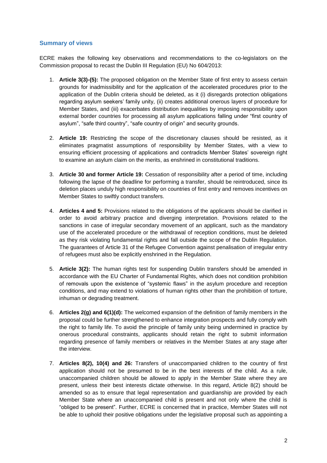## <span id="page-2-0"></span>**Summary of views**

ECRE makes the following key observations and recommendations to the co-legislators on the Commission proposal to recast the Dublin III Regulation (EU) No 604/2013:

- 1. **Article 3(3)-(5):** The proposed obligation on the Member State of first entry to assess certain grounds for inadmissibility and for the application of the accelerated procedures prior to the application of the Dublin criteria should be deleted, as it (i) disregards protection obligations regarding asylum seekers' family unity, (ii) creates additional onerous layers of procedure for Member States, and (iii) exacerbates distribution inequalities by imposing responsibility upon external border countries for processing all asylum applications falling under "first country of asylum", "safe third country", "safe country of origin" and security grounds.
- 2. **Article 19:** Restricting the scope of the discretionary clauses should be resisted, as it eliminates pragmatist assumptions of responsibility by Member States, with a view to ensuring efficient processing of applications and contradicts Member States' sovereign right to examine an asylum claim on the merits, as enshrined in constitutional traditions.
- 3. **Article 30 and former Article 19:** Cessation of responsibility after a period of time, including following the lapse of the deadline for performing a transfer, should be reintroduced, since its deletion places unduly high responsibility on countries of first entry and removes incentives on Member States to swiftly conduct transfers.
- 4. **Articles 4 and 5:** Provisions related to the obligations of the applicants should be clarified in order to avoid arbitrary practice and diverging interpretation. Provisions related to the sanctions in case of irregular secondary movement of an applicant, such as the mandatory use of the accelerated procedure or the withdrawal of reception conditions, must be deleted as they risk violating fundamental rights and fall outside the scope of the Dublin Regulation. The guarantees of Article 31 of the Refugee Convention against penalisation of irregular entry of refugees must also be explicitly enshrined in the Regulation.
- 5. **Article 3(2):** The human rights test for suspending Dublin transfers should be amended in accordance with the EU Charter of Fundamental Rights, which does not condition prohibition of removals upon the existence of "systemic flaws" in the asylum procedure and reception conditions, and may extend to violations of human rights other than the prohibition of torture, inhuman or degrading treatment.
- 6. **Articles 2(g) and 6(1)(d):** The welcomed expansion of the definition of family members in the proposal could be further strengthened to enhance integration prospects and fully comply with the right to family life. To avoid the principle of family unity being undermined in practice by onerous procedural constraints, applicants should retain the right to submit information regarding presence of family members or relatives in the Member States at any stage after the interview.
- 7. **Articles 8(2), 10(4) and 26:** Transfers of unaccompanied children to the country of first application should not be presumed to be in the best interests of the child. As a rule, unaccompanied children should be allowed to apply in the Member State where they are present, unless their best interests dictate otherwise. In this regard, Article 8(2) should be amended so as to ensure that legal representation and guardianship are provided by each Member State where an unaccompanied child is present and not only where the child is "obliged to be present". Further, ECRE is concerned that in practice, Member States will not be able to uphold their positive obligations under the legislative proposal such as appointing a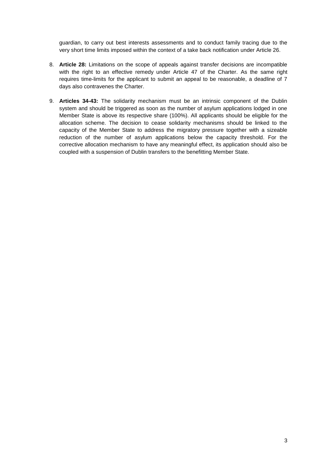guardian, to carry out best interests assessments and to conduct family tracing due to the very short time limits imposed within the context of a take back notification under Article 26.

- 8. **Article 28:** Limitations on the scope of appeals against transfer decisions are incompatible with the right to an effective remedy under Article 47 of the Charter. As the same right requires time-limits for the applicant to submit an appeal to be reasonable, a deadline of 7 days also contravenes the Charter.
- 9. **Articles 34-43:** The solidarity mechanism must be an intrinsic component of the Dublin system and should be triggered as soon as the number of asylum applications lodged in one Member State is above its respective share (100%). All applicants should be eligible for the allocation scheme. The decision to cease solidarity mechanisms should be linked to the capacity of the Member State to address the migratory pressure together with a sizeable reduction of the number of asylum applications below the capacity threshold. For the corrective allocation mechanism to have any meaningful effect, its application should also be coupled with a suspension of Dublin transfers to the benefitting Member State.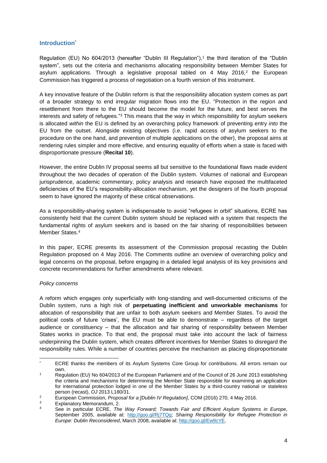## <span id="page-4-0"></span>**Introduction\***

Regulation (EU) No 604/2013 (hereafter "Dublin III Regulation"), 1 the third iteration of the "Dublin system", sets out the criteria and mechanisms allocating responsibility between Member States for asylum applications. Through a legislative proposal tabled on  $4$  May 2016, $2$  the European Commission has triggered a process of negotiation on a fourth version of this instrument.

A key innovative feature of the Dublin reform is that the responsibility allocation system comes as part of a broader strategy to end irregular migration flows into the EU. "Protection in the region and resettlement from there to the EU should become the model for the future, and best serves the interests and safety of refugees."<sup>3</sup> This means that the way in which responsibility for asylum seekers is allocated *within* the EU is defined by an overarching policy framework of preventing entry *into* the EU from the outset. Alongside existing objectives (i.e. rapid access of asylum seekers to the procedure on the one hand, and prevention of multiple applications on the other), the proposal aims at rendering rules simpler and more effective, and ensuring equality of efforts when a state is faced with disproportionate pressure (**Recital 10**).

However, the entire Dublin IV proposal seems all but sensitive to the foundational flaws made evident throughout the two decades of operation of the Dublin system. Volumes of national and European jurisprudence, academic commentary, policy analysis and research have exposed the multifaceted deficiencies of the EU's responsibility-allocation mechanism, yet the designers of the fourth proposal seem to have ignored the majority of these critical observations.

As a responsibility-sharing system is indispensable to avoid "refugees in orbit" situations, ECRE has consistently held that the current Dublin system should be replaced with a system that respects the fundamental rights of asylum seekers and is based on the fair sharing of responsibilities between Member States. 4

In this paper, ECRE presents its assessment of the Commission proposal recasting the Dublin Regulation proposed on 4 May 2016. The Comments outline an overview of overarching policy and legal concerns on the proposal, before engaging in a detailed legal analysis of its key provisions and concrete recommendations for further amendments where relevant.

#### *Policy concerns*

A reform which engages only superficially with long-standing and well-documented criticisms of the Dublin system, runs a high risk of **perpetuating inefficient and unworkable mechanisms** for allocation of responsibility that are unfair to both asylum seekers and Member States. To avoid the political costs of future 'crises', the EU must be able to demonstrate – regardless of the target audience or constituency – that the allocation and fair sharing of responsibility between Member States works in practice. To that end, the proposal must take into account the lack of fairness underpinning the Dublin system, which creates different incentives for Member States to disregard the responsibility rules. While a number of countries perceive the mechanism as placing disproportionate

 $\overline{\phantom{a}}$ ECRE thanks the members of its Asylum Systems Core Group for contributions. All errors remain our own.

<sup>1</sup> Regulation (EU) No 604/2013 of the European Parliament and of the Council of 26 June 2013 establishing the criteria and mechanisms for determining the Member State responsible for examining an application for international protection lodged in one of the Member States by a third-country national or stateless person (recast), *OJ* 2013 L180/31.

<sup>2</sup> European Commission, *Proposal for a [Dublin IV Regulation]*, COM (2016) 270, 4 May 2016.

 $\frac{3}{4}$  Explanatory Memorandum, 2.

<sup>4</sup> See in particular ECRE, *The Way Forward; Towards Fair and Efficient Asylum Systems in Europe*, September 2005, available at: [http://goo.gl/Rj7TQg;](http://goo.gl/Rj7TQg) *Sharing Responsibility for Refugee Protection in Europe: Dublin Reconsidered*, March 2008, available at: [http://goo.gl/Ew9cYE.](http://goo.gl/Ew9cYE)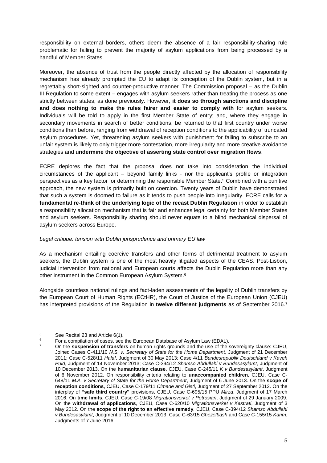responsibility on external borders, others deem the absence of a fair responsibility-sharing rule problematic for failing to prevent the majority of asylum applications from being processed by a handful of Member States.

Moreover, the absence of trust from the people directly affected by the allocation of responsibility mechanism has already prompted the EU to adapt its conception of the Dublin system, but in a regrettably short-sighted and counter-productive manner. The Commission proposal – as the Dublin III Regulation to some extent – engages with asylum seekers rather than treating the process as one strictly between states, as done previously. However, **it does so through sanctions and discipline and does nothing to make the rules fairer and easier to comply with** for asylum seekers. Individuals will be told to apply in the first Member State of entry; and, where they engage in secondary movements in search of better conditions, be returned to that first country under worse conditions than before, ranging from withdrawal of reception conditions to the applicability of truncated asylum procedures. Yet, threatening asylum seekers with punishment for failing to subscribe to an unfair system is likely to only trigger more contestation, more irregularity and more creative avoidance strategies and **undermine the objective of asserting state control over migration flows**.

ECRE deplores the fact that the proposal does not take into consideration the individual circumstances of the applicant – beyond family links - nor the applicant's profile or integration perspectives as a key factor for determining the responsible Member State. <sup>5</sup> Combined with a punitive approach, the new system is primarily built on coercion. Twenty years of Dublin have demonstrated that such a system is doomed to failure as it tends to push people into irregularity. ECRE calls for a **fundamental re-think of the underlying logic of the recast Dublin Regulation** in order to establish a responsibility allocation mechanism that is fair and enhances legal certainty for both Member States and asylum seekers. Responsibility sharing should never equate to a blind mechanical dispersal of asylum seekers across Europe.

## *Legal critique: tension with Dublin jurisprudence and primary EU law*

As a mechanism entailing coercive transfers and other forms of detrimental treatment to asylum seekers, the Dublin system is one of the most heavily litigated aspects of the CEAS. Post-Lisbon, judicial intervention from national and European courts affects the Dublin Regulation more than any other instrument in the Common European Asylum System.<sup>6</sup>

Alongside countless national rulings and fact-laden assessments of the legality of Dublin transfers by the European Court of Human Rights (ECtHR), the Court of Justice of the European Union (CJEU) has interpreted provisions of the Regulation in **twelve different judgments** as of September 2016. 7

 $\overline{5}$  $5$  See Recital 23 and Article 6(1).

For a compilation of cases, see the European Database of Asylum Law (EDAL).

<sup>7</sup> On the **suspension of transfers** on human rights grounds and the use of the sovereignty clause: CJEU, Joined Cases C-411/10 *N.S. v. Secretary of State for the Home Department*, Judgment of 21 December 2011; Case C-528/11 *Halaf*, Judgment of 30 May 2013; Case 4/11 *Bundesrepublik Deutschland v Kaveh Puid*, Judgment of 14 November 2013; Case C-394/12 *Shamso Abdullahi v Bundesasylamt*, Judgment of 10 December 2013. On the **humanitarian clause**, CJEU, Case C-245/11 *K v Bundesasylamt*, Judgment of 6 November 2012. On responsibility criteria relating to **unaccompanied children**, CJEU, Case C-648/11 *M.A. v Secretary of State for the Home Department*, Judgment of 6 June 2013. On the **scope of reception conditions**, CJEU, Case C-179/11 *Cimade and Gisti*, Judgment of 27 September 2012. On the interplay of **"safe third country"** provisions, CJEU, Case C-695/15 PPU *Mirza*, Judgment of 17 March 2016. On **time limits**, CJEU, Case C-19/08 *Migrationsverket v Petrosian*, Judgment of 29 January 2009. On the **withdrawal of applications**, CJEU, Case C-620/10 *Migrationsverket v Kastrati*, Judgment of 3 May 2012. On the **scope of the right to an effective remedy**, CJEU, Case C-394/12 *Shamso Abdullahi v Bundesasylamt*, Judgment of 10 December 2013; Case C-63/15 *Ghezelbash* and Case C-155/15 *Karim*, Judgments of 7 June 2016.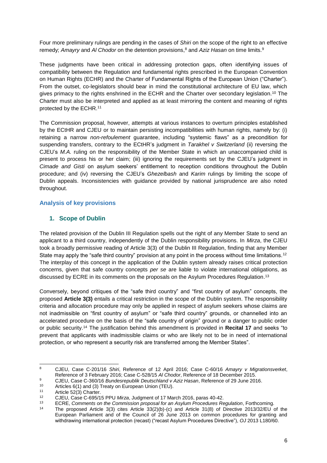Four more preliminary rulings are pending in the cases of *Shiri* on the scope of the right to an effective remedy; *Amayry* and *Al Chodor* on the detention provisions, <sup>8</sup> and *Aziz Hasan* on time limits.<sup>9</sup>

These judgments have been critical in addressing protection gaps, often identifying issues of compatibility between the Regulation and fundamental rights prescribed in the European Convention on Human Rights (ECHR) and the Charter of Fundamental Rights of the European Union ("Charter"). From the outset, co-legislators should bear in mind the constitutional architecture of EU law, which gives primacy to the rights enshrined in the ECHR and the Charter over secondary legislation.<sup>10</sup> The Charter must also be interpreted and applied as at least mirroring the content and meaning of rights protected by the ECHR.<sup>11</sup>

The Commission proposal, however, attempts at various instances to overturn principles established by the ECtHR and CJEU or to maintain persisting incompatibilities with human rights, namely by: (i) retaining a narrow *non-refoulement* guarantee, including "systemic flaws" as a precondition for suspending transfers, contrary to the ECtHR's judgment in *Tarakhel v Switzerland* (ii) reversing the CJEU's *M.A.* ruling on the responsibility of the Member State in which an unaccompanied child is present to process his or her claim; (iii) ignoring the requirements set by the CJEU's judgment in *Cimade and Gisti* on asylum seekers' entitlement to reception conditions throughout the Dublin procedure; and (iv) reversing the CJEU's *Ghezelbash* and *Karim* rulings by limiting the scope of Dublin appeals. Inconsistencies with guidance provided by national jurisprudence are also noted throughout.

## <span id="page-6-0"></span>**Analysis of key provisions**

## <span id="page-6-1"></span>**1. Scope of Dublin**

The related provision of the Dublin III Regulation spells out the right of any Member State to send an applicant to a third country, independently of the Dublin responsibility provisions. In *Mirza*, the CJEU took a broadly permissive reading of Article 3(3) of the Dublin III Regulation, finding that any Member State may apply the "safe third country" provision at any point in the process without time limitations.<sup>12</sup> The interplay of this concept in the application of the Dublin system already raises critical protection concerns, given that safe country concepts *per se* are liable to violate international obligations, as discussed by ECRE in its comments on the proposals on the Asylum Procedures Regulation.<sup>13</sup>

Conversely, beyond critiques of the "safe third country" and "first country of asylum" concepts, the proposed **Article 3(3)** entails a critical restriction in the scope of the Dublin system. The responsibility criteria and allocation procedure may only be applied in respect of asylum seekers whose claims are not inadmissible on "first country of asylum" or "safe third country" grounds, or channelled into an accelerated procedure on the basis of the "safe country of origin" ground or a danger to public order or public security.<sup>14</sup> The justification behind this amendment is provided in **Recital 17** and seeks "to prevent that applicants with inadmissible claims or who are likely not to be in need of international protection, or who represent a security risk are transferred among the Member States".

<sup>1</sup> <sup>8</sup> CJEU, Case C-201/16 *Shiri*, Reference of 12 April 2016; Case C-60/16 *Amayry v Migrationsverket*, Reference of 3 February 2016; Case C-528/15 *Al Chodor*, Reference of 18 December 2015.

<sup>9</sup> CJEU, Case C-360/16 *Bundesrepublik Deutschland v Aziz Hasan*, Reference of 29 June 2016.

<sup>10</sup> Articles 6(1) and (3) Treaty on European Union (TEU).<br>11 Article 53(3) Charter

<sup>11</sup> Article 52(3) Charter.

<sup>12</sup> CJEU, Case C-695/15 PPU *Mirza*, Judgment of 17 March 2016, paras 40-42.

<sup>13</sup> ECRE, *Comments on the Commission proposal for an Asylum Procedures Regulation*, Forthcoming.<br>14 The agence of Article 2(2) sites Article 2(2) (2) and Article 24(2) of Directive 2012/22/EU

<sup>14</sup> The proposed Article 3(3) cites Article 33(2)(b)-(c) and Article 31(8) of Directive 2013/32/EU of the European Parliament and of the Council of 26 June 2013 on common procedures for granting and withdrawing international protection (recast) ("recast Asylum Procedures Directive"), *OJ* 2013 L180/60.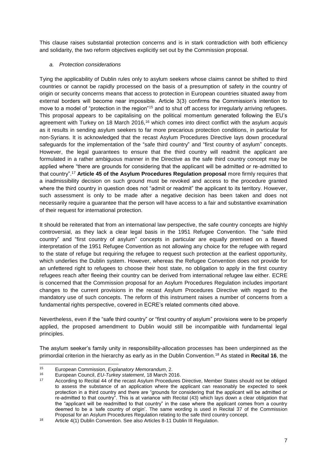This clause raises substantial protection concerns and is in stark contradiction with both efficiency and solidarity, the two reform objectives explicitly set out by the Commission proposal.

## *a. Protection considerations*

Tying the applicability of Dublin rules only to asylum seekers whose claims cannot be shifted to third countries or cannot be rapidly processed on the basis of a presumption of safety in the country of origin or security concerns means that access to protection in European countries situated away from external borders will become near impossible. Article 3(3) confirms the Commission's intention to move to a model of "protection in the region"<sup>15</sup> and to shut off access for irregularly arriving refugees. This proposal appears to be capitalising on the political momentum generated following the EU's agreement with Turkey on 18 March 2016,<sup>16</sup> which comes into direct conflict with the asylum *acquis*  as it results in sending asylum seekers to far more precarious protection conditions, in particular for non-Syrians. It is acknowledged that the recast Asylum Procedures Directive lays down procedural safeguards for the implementation of the "safe third country" and "first country of asylum" concepts. However, the legal guarantees to ensure that the third country will readmit the applicant are formulated in a rather ambiguous manner in the Directive as the safe third country concept may be applied where "there are grounds for considering that the applicant will be admitted or re-admitted to that country". <sup>17</sup> **Article 45 of the Asylum Procedures Regulation proposal** more firmly requires that a inadmissibility decision on such ground must be revoked and access to the procedure granted where the third country in question does not "admit or readmit" the applicant to its territory. However, such assessment is only to be made after a negative decision has been taken and does not necessarily require a guarantee that the person will have access to a fair and substantive examination of their request for international protection.

It should be reiterated that from an international law perspective, the safe country concepts are highly controversial, as they lack a clear legal basis in the 1951 Refugee Convention. The "safe third country" and "first country of asylum" concepts in particular are equally premised on a flawed interpretation of the 1951 Refugee Convention as not allowing any choice for the refugee with regard to the state of refuge but requiring the refugee to request such protection at the earliest opportunity, which underlies the Dublin system. However, whereas the Refugee Convention does not provide for an unfettered right to refugees to choose their host state, no obligation to apply in the first country refugees reach after fleeing their country can be derived from international refugee law either. ECRE is concerned that the Commission proposal for an Asylum Procedures Regulation includes important changes to the current provisions in the recast Asylum Procedures Directive with regard to the mandatory use of such concepts. The reform of this instrument raises a number of concerns from a fundamental rights perspective, covered in ECRE's related comments cited above.

Nevertheless, even if the "safe third country" or "first country of asylum" provisions were to be properly applied, the proposed amendment to Dublin would still be incompatible with fundamental legal principles.

The asylum seeker's family unity in responsibility-allocation processes has been underpinned as the primordial criterion in the hierarchy as early as in the Dublin Convention.<sup>18</sup> As stated in **Recital 16**, the

 $15$ <sup>15</sup> European Commission, *Explanatory Memorandum*, 2.

<sup>16</sup> European Council, *EU-Turkey statement*, 18 March 2016.

According to Recital 44 of the recast Asylum Procedures Directive, Member States should not be obliged to assess the substance of an application where the applicant can reasonably be expected to seek protection in a third country and there are "grounds for considering that the applicant will be admitted or re-admitted to that country". This is at variance with Recital (43) which lays down a clear obligation that the "applicant will be readmitted to that country" in the case where the applicant comes from a country deemed to be a 'safe country of origin'. The same wording is used in Recital 37 of the Commission Proposal for an Asylum Procedures Regulation relating to the safe third country concept.

<sup>18</sup> Article 4(1) Dublin Convention. See also Articles 8-11 Dublin III Regulation.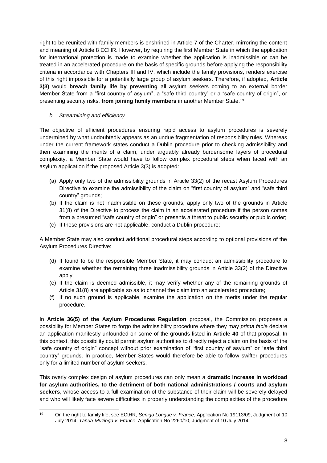right to be reunited with family members is enshrined in Article 7 of the Charter, mirroring the content and meaning of Article 8 ECHR. However, by requiring the first Member State in which the application for international protection is made to examine whether the application is inadmissible or can be treated in an accelerated procedure on the basis of specific grounds before applying the responsibility criteria in accordance with Chapters III and IV, which include the family provisions, renders exercise of this right impossible for a potentially large group of asylum seekers. Therefore, if adopted, **Article 3(3)** would **breach family life by preventing** all asylum seekers coming to an external border Member State from a "first country of asylum", a "safe third country" or a "safe country of origin", or presenting security risks, **from joining family members** in another Member State.<sup>19</sup>

## *b. Streamlining and efficiency*

The objective of efficient procedures ensuring rapid access to asylum procedures is severely undermined by what undoubtedly appears as an undue fragmentation of responsibility rules. Whereas under the current framework states conduct a Dublin procedure prior to checking admissibility and then examining the merits of a claim, under arguably already burdensome layers of procedural complexity, a Member State would have to follow complex procedural steps when faced with an asylum application if the proposed Article 3(3) is adopted:

- (a) Apply only two of the admissibility grounds in Article 33(2) of the recast Asylum Procedures Directive to examine the admissibility of the claim on "first country of asylum" and "safe third country" grounds;
- (b) If the claim is not inadmissible on these grounds, apply only two of the grounds in Article 31(8) of the Directive to process the claim in an accelerated procedure if the person comes from a presumed "safe country of origin" or presents a threat to public security or public order;
- (c) If these provisions are not applicable, conduct a Dublin procedure;

A Member State may also conduct additional procedural steps according to optional provisions of the Asylum Procedures Directive:

- (d) If found to be the responsible Member State, it may conduct an admissibility procedure to examine whether the remaining three inadmissibility grounds in Article 33(2) of the Directive apply;
- (e) If the claim is deemed admissible, it may verify whether any of the remaining grounds of Article 31(8) are applicable so as to channel the claim into an accelerated procedure;
- (f) If no such ground is applicable, examine the application on the merits under the regular procedure.

In **Article 36(5) of the Asylum Procedures Regulation** proposal, the Commission proposes a possibility for Member States to forgo the admissibility procedure where they may *prima facie* declare an application manifestly unfounded on some of the grounds listed in **Article 40** of that proposal. In this context, this possibility could permit asylum authorities to directly reject a claim on the basis of the "safe country of origin" concept without prior examination of "first country of asylum" or "safe third country" grounds. In practice, Member States would therefore be able to follow swifter procedures only for a limited number of asylum seekers.

This overly complex design of asylum procedures can only mean a **dramatic increase in workload for asylum authorities, to the detriment of both national administrations / courts and asylum seekers**, whose access to a full examination of the substance of their claim will be severely delayed and who will likely face severe difficulties in properly understanding the complexities of the procedure

 $19$ <sup>19</sup> On the right to family life, see ECtHR, *Senigo Longue v. France*, Application No 19113/09, Judgment of 10 July 2014; *Tanda-Muzinga v. France*, Application No 2260/10, Judgment of 10 July 2014.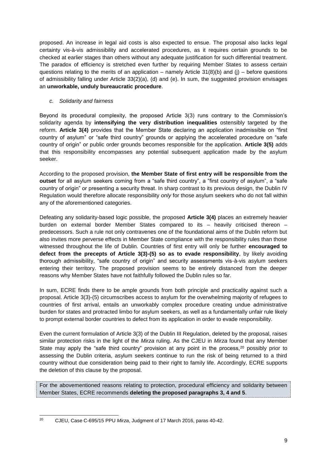proposed. An increase in legal aid costs is also expected to ensue. The proposal also lacks legal certainty vis-à-vis admissibility and accelerated procedures, as it requires certain grounds to be checked at earlier stages than others without any adequate justification for such differential treatment. The paradox of efficiency is stretched even further by requiring Member States to assess certain questions relating to the merits of an application – namely Article  $31(8)(b)$  and (j) – before questions of admissibility falling under Article 33(2)(a), (d) and (e). In sum, the suggested provision envisages an **unworkable, unduly bureaucratic procedure**.

## *c. Solidarity and fairness*

Beyond its procedural complexity, the proposed Article 3(3) runs contrary to the Commission's solidarity agenda by **intensifying the very distribution inequalities** ostensibly targeted by the reform. **Article 3(4)** provides that the Member State declaring an application inadmissible on "first country of asylum" or "safe third country" grounds or applying the accelerated procedure on "safe country of origin" or public order grounds becomes responsible for the application. **Article 3(5)** adds that this responsibility encompasses any potential subsequent application made by the asylum seeker.

According to the proposed provision, **the Member State of first entry will be responsible from the outset** for all asylum seekers coming from a "safe third country", a "first country of asylum", a "safe country of origin" or presenting a security threat. In sharp contrast to its previous design, the Dublin IV Regulation would therefore allocate responsibility *only* for those asylum seekers who do not fall within any of the aforementioned categories.

Defeating any solidarity-based logic possible, the proposed **Article 3(4)** places an extremely heavier burden on external border Member States compared to its – heavily criticised thereon – predecessors. Such a rule not only contravenes one of the foundational aims of the Dublin reform but also invites more perverse effects in Member State compliance with the responsibility rules than those witnessed throughout the life of Dublin. Countries of first entry will only be further **encouraged to defect from the precepts of Article 3(3)-(5) so as to evade responsibility**, by likely avoiding thorough admissibility, "safe country of origin" and security assessments vis-à-vis asylum seekers entering their territory. The proposed provision seems to be entirely distanced from the deeper reasons why Member States have not faithfully followed the Dublin rules so far.

In sum, ECRE finds there to be ample grounds from both principle and practicality against such a proposal. Article 3(3)-(5) circumscribes access to asylum for the overwhelming majority of refugees to countries of first arrival, entails an unworkably complex procedure creating undue administrative burden for states and protracted limbo for asylum seekers, as well as a fundamentally unfair rule likely to prompt external border countries to defect from its application in order to evade responsibility.

Even the current formulation of Article 3(3) of the Dublin III Regulation, deleted by the proposal, raises similar protection risks in the light of the *Mirza* ruling. As the CJEU in *Mirza* found that any Member State may apply the "safe third country" provision at any point in the process,<sup>20</sup> possibly prior to assessing the Dublin criteria, asylum seekers continue to run the risk of being returned to a third country without due consideration being paid to their right to family life. Accordingly, ECRE supports the deletion of this clause by the proposal.

For the abovementioned reasons relating to protection, procedural efficiency and solidarity between Member States, ECRE recommends **deleting the proposed paragraphs 3, 4 and 5**.

 $20$ <sup>20</sup> CJEU, Case C-695/15 PPU *Mirza*, Judgment of 17 March 2016, paras 40-42.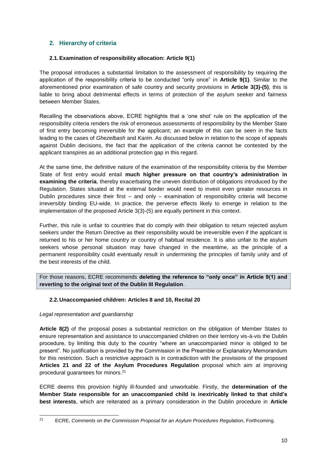## <span id="page-10-0"></span>**2. Hierarchy of criteria**

## <span id="page-10-1"></span>**2.1.Examination of responsibility allocation: Article 9(1)**

The proposal introduces a substantial limitation to the assessment of responsibility by requiring the application of the responsibility criteria to be conducted "only once" in **Article 9(1)**. Similar to the aforementioned prior examination of safe country and security provisions in **Article 3(3)-(5)**, this is liable to bring about detrimental effects in terms of protection of the asylum seeker and fairness between Member States.

Recalling the observations above, ECRE highlights that a 'one shot' rule on the application of the responsibility criteria renders the risk of erroneous assessments of responsibility by the Member State of first entry becoming irreversible for the applicant; an example of this can be seen in the facts leading to the cases of *Ghezelbash* and *Karim*. As discussed below in relation to the scope of appeals against Dublin decisions, the fact that the application of the criteria cannot be contested by the applicant transpires as an additional protection gap in this regard.

At the same time, the definitive nature of the examination of the responsibility criteria by the Member State of first entry would entail **much higher pressure on that country's administration in examining the criteria**, thereby exacerbating the uneven distribution of obligations introduced by the Regulation. States situated at the external border would need to invest even greater resources in Dublin procedures since their first – and only – examination of responsibility criteria will become irreversibly binding EU-wide. In practice, the perverse effects likely to emerge in relation to the implementation of the proposed Article 3(3)-(5) are equally pertinent in this context.

Further, this rule is unfair to countries that do comply with their obligation to return rejected asylum seekers under the Return Directive as their responsibility would be irreversible even if the applicant is returned to his or her home country or country of habitual residence. It is also unfair to the asylum seekers whose personal situation may have changed in the meantime, as the principle of a permanent responsibility could eventually result in undermining the principles of family unity and of the best interests of the child.

For those reasons, ECRE recommends **deleting the reference to "only once" in Article 9(1) and reverting to the original text of the Dublin III Regulation**.

#### <span id="page-10-2"></span>**2.2.Unaccompanied children: Articles 8 and 10, Recital 20**

#### *Legal representation and guardianship*

**Article 8(2)** of the proposal poses a substantial restriction on the obligation of Member States to ensure representation and assistance to unaccompanied children on their territory vis-à-vis the Dublin procedure, by limiting this duty to the country "where an unaccompanied minor is obliged to be present". No justification is provided by the Commission in the Preamble or Explanatory Memorandum for this restriction. Such a restrictive approach is in contradiction with the provisions of the proposed **Articles 21 and 22 of the Asylum Procedures Regulation** proposal which aim at improving procedural guarantees for minors. 21

ECRE deems this provision highly ill-founded and unworkable. Firstly, the **determination of the Member State responsible for an unaccompanied child is inextricably linked to that child's best interests**, which are reiterated as a primary consideration in the Dublin procedure in **Article** 

 $21$ <sup>21</sup> ECRE, *Comments on the Commission Proposal for an Asylum Procedures Regulation*, Forthcoming.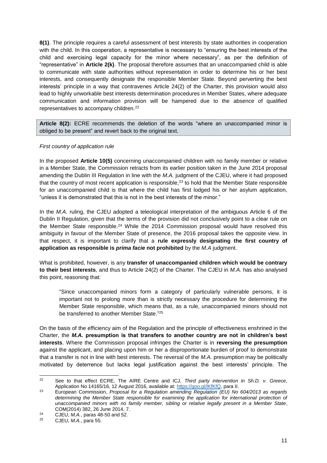**8(1)**. The principle requires a careful assessment of best interests by state authorities in cooperation with the child. In this cooperation, a representative is necessary to "ensuring the best interests of the child and exercising legal capacity for the minor where necessary", as per the definition of "representative" in **Article 2(k)**. The proposal therefore assumes that an unaccompanied child is able to communicate with state authorities without representation in order to determine his or her best interests, and consequently designate the responsible Member State. Beyond perverting the best interests' principle in a way that contravenes Article 24(2) of the Charter, this provision would also lead to highly unworkable best interests determination procedures in Member States, where adequate communication and information provision will be hampered due to the absence of qualified representatives to accompany children.<sup>22</sup>

**Article 8(2):** ECRE recommends the deletion of the words "where an unaccompanied minor is obliged to be present" and revert back to the original text.

#### *First country of application rule*

In the proposed **Article 10(5)** concerning unaccompanied children with no family member or relative in a Member State, the Commission retracts from its earlier position taken in the June 2014 proposal amending the Dublin III Regulation in line with the *M.A.* judgment of the CJEU, where it had proposed that the country of most recent application is responsible,  $23$  to hold that the Member State responsible for an unaccompanied child is that where the child has first lodged his or her asylum application, "unless it is demonstrated that this is not in the best interests of the minor."

In the *M.A.* ruling, the CJEU adopted a teleological interpretation of the ambiguous Article 6 of the Dublin II Regulation, given that the terms of the provision did not conclusively point to a clear rule on the Member State responsible.<sup>24</sup> While the 2014 Commission proposal would have resolved this ambiguity in favour of the Member State of presence, the 2016 proposal takes the opposite view. In that respect, it is important to clarify that a **rule expressly designating the first country of application as responsible is** *prima facie* **not prohibited** by the *M.A* judgment.

What is prohibited, however, is any **transfer of unaccompanied children which would be contrary to their best interests**, and thus to Article 24(2) of the Charter. The CJEU in *M.A.* has also analysed this point, reasoning that:

"Since unaccompanied minors form a category of particularly vulnerable persons, it is important not to prolong more than is strictly necessary the procedure for determining the Member State responsible, which means that, as a rule, unaccompanied minors should not be transferred to another Member State." 25

On the basis of the efficiency aim of the Regulation and the principle of effectiveness enshrined in the Charter, the *M.A.* **presumption is that transfers to another country are not in children's best interests**. Where the Commission proposal infringes the Charter is in **reversing the presumption** against the applicant, and placing upon him or her a disproportionate burden of proof to demonstrate that a transfer is not in line with best interests. The reversal of the *M.A.* presumption may be politically motivated by deterrence but lacks legal justification against the best interests' principle. The

 $22$ <sup>22</sup> See to that effect ECRE, The AIRE Centre and ICJ, *Third party intervention in Sh.D. v. Greece*, Application No 14165/16, 12 August 2016, available at: [https://goo.gl/lKfKfQ,](https://goo.gl/lKfKfQ) para II.

<sup>23</sup> European Commission, *Proposal for a Regulation amending Regulation (EU) No 604/2013 as regards*  determining the Member State responsible for examining the application for international protection of *unaccompanied minors with no family member, sibling or relative legally present in a Member State*, COM(2014) 382, 26 June 2014, 7.

<sup>24</sup> CJEU, *M.A.*, paras 48-50 and 52.

<sup>25</sup> CJEU, *M.A.*, para 55.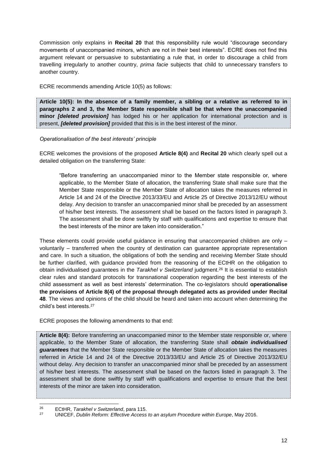Commission only explains in **Recital 20** that this responsibility rule would "discourage secondary movements of unaccompanied minors, which are not in their best interests". ECRE does not find this argument relevant or persuasive to substantiating a rule that, in order to discourage a child from travelling irregularly to another country, *prima facie* subjects that child to unnecessary transfers to another country.

ECRE recommends amending Article 10(5) as follows:

**Article 10(5): In the absence of a family member, a sibling or a relative as referred to in paragraphs 2 and 3, the Member State responsible shall be that where the unaccompanied minor** *[deleted provision]* has lodged his or her application for international protection and is present, *[deleted provision]* provided that this is in the best interest of the minor.

## *Operationalisation of the best interests' principle*

ECRE welcomes the provisions of the proposed **Article 8(4)** and **Recital 20** which clearly spell out a detailed obligation on the transferring State:

"Before transferring an unaccompanied minor to the Member state responsible or, where applicable, to the Member State of allocation, the transferring State shall make sure that the Member State responsible or the Member State of allocation takes the measures referred in Article 14 and 24 of the Directive 2013/33/EU and Article 25 of Directive 2013/12/EU without delay. Any decision to transfer an unaccompanied minor shall be preceded by an assessment of his/her best interests. The assessment shall be based on the factors listed in paragraph 3. The assessment shall be done swiftly by staff with qualifications and expertise to ensure that the best interests of the minor are taken into consideration."

These elements could provide useful guidance in ensuring that unaccompanied children are only – voluntarily – transferred when the country of destination can guarantee appropriate representation and care. In such a situation, the obligations of both the sending and receiving Member State should be further clarified, with guidance provided from the reasoning of the ECtHR on the obligation to obtain individualised guarantees in the *Tarakhel v Switzerland* judgment.<sup>26</sup> It is essential to establish clear rules and standard protocols for transnational cooperation regarding the best interests of the child assessment as well as best interests' determination. The co-legislators should **operationalise the provisions of Article 8(4) of the proposal through delegated acts as provided under Recital 48**. The views and opinions of the child should be heard and taken into account when determining the child's best interests. 27

ECRE proposes the following amendments to that end:

**Article 8(4):** Before transferring an unaccompanied minor to the Member state responsible or, where applicable, to the Member State of allocation, the transferring State shall *obtain individualised guarantees* that the Member State responsible or the Member State of allocation takes the measures referred in Article 14 and 24 of the Directive 2013/33/EU and Article 25 of Directive 2013/32/EU without delay. Any decision to transfer an unaccompanied minor shall be preceded by an assessment of his/her best interests. The assessment shall be based on the factors listed in paragraph 3. The assessment shall be done swiftly by staff with qualifications and expertise to ensure that the best interests of the minor are taken into consideration.

1

<sup>26</sup> ECtHR, *Tarakhel v Switzerland*, para 115.

<sup>27</sup> UNICEF, *Dublin Reform: Effective Access to an asylum Procedure within Europe*, May 2016.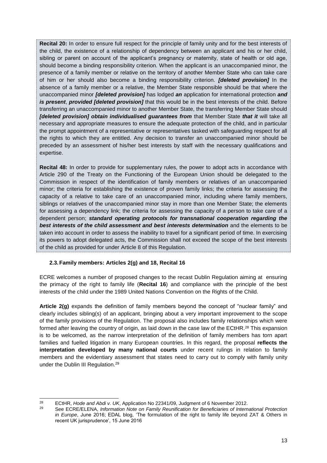**Recital 20:** In order to ensure full respect for the principle of family unity and for the best interests of the child, the existence of a relationship of dependency between an applicant and his or her child, sibling or parent on account of the applicant's pregnancy or maternity, state of health or old age, should become a binding responsibility criterion. When the applicant is an unaccompanied minor, the presence of a family member or relative on the territory of another Member State who can take care of him or her should also become a binding responsibility criterion. *[deleted provision]* In the absence of a family member or a relative, the Member State responsible should be that where the unaccompanied minor *[deleted provision]* has lodged *an* application for international protection *and is present*, *provided [deleted provision]* that this would be in the best interests of the child. Before transferring an unaccompanied minor to another Member State, the transferring Member State should *[deleted provision] obtain individualised guarantees from* that Member State *that it* will take all necessary and appropriate measures to ensure the adequate protection of the child, and in particular the prompt appointment of a representative or representatives tasked with safeguarding respect for all the rights to which they are entitled. Any decision to transfer an unaccompanied minor should be preceded by an assessment of his/her best interests by staff with the necessary qualifications and expertise.

**Recital 48:** In order to provide for supplementary rules, the power to adopt acts in accordance with Article 290 of the Treaty on the Functioning of the European Union should be delegated to the Commission in respect of the identification of family members or relatives of an unaccompanied minor; the criteria for establishing the existence of proven family links; the criteria for assessing the capacity of a relative to take care of an unaccompanied minor, including where family members, siblings or relatives of the unaccompanied minor stay in more than one Member State; the elements for assessing a dependency link; the criteria for assessing the capacity of a person to take care of a dependent person; *standard operating protocols for transnational cooperation regarding the best interests of the child assessment and best interests determination* and the elements to be taken into account in order to assess the inability to travel for a significant period of time. In exercising its powers to adopt delegated acts, the Commission shall not exceed the scope of the best interests of the child as provided for under Article 8 of this Regulation.

## <span id="page-13-0"></span>**2.3.Family members: Articles 2(g) and 18, Recital 16**

ECRE welcomes a number of proposed changes to the recast Dublin Regulation aiming at ensuring the primacy of the right to family life (**Recital 16**) and compliance with the principle of the best interests of the child under the 1989 United Nations Convention on the Rights of the Child.

**Article 2(g)** expands the definition of family members beyond the concept of "nuclear family" and clearly includes sibling(s) of an applicant, bringing about a very important improvement to the scope of the family provisions of the Regulation. The proposal also includes family relationships which were formed after leaving the country of origin, as laid down in the case law of the ECtHR.<sup>28</sup> This expansion is to be welcomed, as the narrow interpretation of the definition of family members has torn apart families and fuelled litigation in many European countries. In this regard, the proposal **reflects the interpretation developed by many national courts** under recent rulings in relation to family members and the evidentiary assessment that states need to carry out to comply with family unity under the Dublin III Regulation.<sup>29</sup>

 $28$ <sup>28</sup> ECtHR, *Hode and Abdi v. UK*, Application No 22341/09, Judgment of 6 November 2012.

<sup>29</sup> See ECRE/ELENA, *Information Note on Family Reunification for Beneficiaries of International Protection in Europe*, June 2016; EDAL blog, 'The formulation of the right to family life beyond ZAT & Others in recent UK jurisprudence', 15 June 2016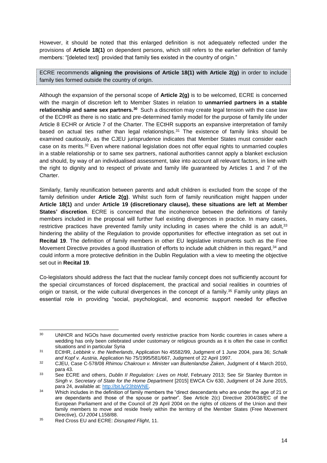However, it should be noted that this enlarged definition is not adequately reflected under the provisions of **Article 18(1)** on dependent persons, which still refers to the earlier definition of family members: "[deleted text] provided that family ties existed in the country of origin."

ECRE recommends **aligning the provisions of Article 18(1) with Article 2(g)** in order to include family ties formed outside the country of origin.

Although the expansion of the personal scope of **Article 2(g)** is to be welcomed, ECRE is concerned with the margin of discretion left to Member States in relation to **unmarried partners in a stable relationship and same sex partners.<sup>30</sup> Such a discretion may create legal tension with the case law** of the ECtHR as there is no static and pre-determined family model for the purpose of family life under Article 8 ECHR or Article 7 of the Charter. The ECtHR supports an expansive interpretation of family based on actual ties rather than legal relationships.<sup>31</sup> The existence of family links should be examined cautiously, as the CJEU jurisprudence indicates that Member States must consider each case on its merits.<sup>32</sup> Even where national legislation does not offer equal rights to unmarried couples in a stable relationship or to same sex partners, national authorities cannot apply a blanket exclusion and should, by way of an individualised assessment, take into account all relevant factors, in line with the right to dignity and to respect of private and family life guaranteed by Articles 1 and 7 of the Charter.

Similarly, family reunification between parents and adult children is excluded from the scope of the family definition under **Article 2(g)**. Whilst such form of family reunification might happen under **Article 18(1)** and under **Article 19 (discretionary clause), these situations are left at Member States' discretion**. ECRE is concerned that the incoherence between the definitions of family members included in the proposal will further fuel existing divergences in practice. In many cases, restrictive practices have prevented family unity including in cases where the child is an adult,  $33$ hindering the ability of the Regulation to provide opportunities for effective integration as set out in **Recital 19**. The definition of family members in other EU legislative instruments such as the Free Movement Directive provides a good illustration of efforts to include adult children in this regard,<sup>34</sup> and could inform a more protective definition in the Dublin Regulation with a view to meeting the objective set out in **Recital 19**.

Co-legislators should address the fact that the nuclear family concept does not sufficiently account for the special circumstances of forced displacement, the practical and social realities in countries of origin or transit, or the wide cultural divergences in the concept of a family.<sup>35</sup> Family unity plays an essential role in providing "social, psychological, and economic support needed for effective

 $30<sup>2</sup>$ UNHCR and NGOs have documented overly restrictive practice from Nordic countries in cases where a wedding has only been celebrated under customary or religious grounds as it is often the case in conflict situations and in particular Syria

<sup>31</sup> ECtHR, *Lebbink v. the Netherlands*, Application No 45582/99, Judgment of 1 June 2004, para 36; *Schalk and Kopf v. Austria*, Application No 75/1995/581/667, Judgment of 22 April 1997.

<sup>32</sup> CJEU, Case C-578/08 *Rhimou Chakroun v. Minister van Buitenlandse Zaken*, Judgment of 4 March 2010, para 43.

<sup>33</sup> See ECRE and others, *Dublin II Regulation: Lives on Hold*, February 2013; See Sir Stanley Burnton in *Singh v. Secretary of State for the Home Department* [2015] EWCA Civ 630, Judgment of 24 June 2015, para 24, available at: [http://bit.ly/23hbWNE.](http://bit.ly/23hbWNE)

<sup>&</sup>lt;sup>34</sup> Which includes in the definition of family members the "direct descendants who are under the age of 21 or are dependants and those of the spouse or partner". See Article 2(c) Directive 2004/38/EC of the European Parliament and of the Council of 29 April 2004 on the rights of citizens of the Union and their family members to move and reside freely within the territory of the Member States (Free Movement Directive), *OJ 2004* L158/88.

<sup>35</sup> Red Cross EU and ECRE: *Disrupted Flight*, 11.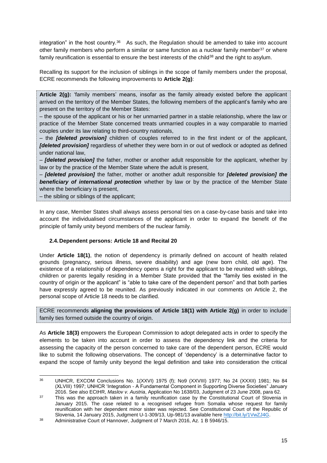integration" in the host country.<sup>36</sup> As such, the Regulation should be amended to take into account other family members who perform a similar or same function as a nuclear family member<sup>37</sup> or where family reunification is essential to ensure the best interests of the child<sup>38</sup> and the right to asylum.

Recalling its support for the inclusion of siblings in the scope of family members under the proposal, ECRE recommends the following improvements to **Article 2(g)**:

**Article 2(g):** 'family members' means, insofar as the family already existed before the applicant arrived on the territory of the Member States, the following members of the applicant's family who are present on the territory of the Member States:

– the spouse of the applicant or his or her unmarried partner in a stable relationship, where the law or practice of the Member State concerned treats unmarried couples in a way comparable to married couples under its law relating to third-country nationals,

– the *[deleted provision]* children of couples referred to in the first indent or of the applicant, *[deleted provision]* regardless of whether they were born in or out of wedlock or adopted as defined under national law,

– *[deleted provision]* the father, mother or another adult responsible for the applicant, whether by law or by the practice of the Member State where the adult is present,

– *[deleted provision]* the father, mother or another adult responsible for *[deleted provision] the beneficiary of international protection* whether by law or by the practice of the Member State where the beneficiary is present,

– the sibling or siblings of the applicant;

1

In any case, Member States shall always assess personal ties on a case-by-case basis and take into account the individualised circumstances of the applicant in order to expand the benefit of the principle of family unity beyond members of the nuclear family.

## <span id="page-15-0"></span>**2.4.Dependent persons: Article 18 and Recital 20**

Under **Article 18(1)**, the notion of dependency is primarily defined on account of health related grounds (pregnancy, serious illness, severe disability) and age (new born child, old age). The existence of a relationship of dependency opens a right for the applicant to be reunited with siblings, children or parents legally residing in a Member State provided that the "family ties existed in the country of origin or the applicant" is "able to take care of the dependent person" and that both parties have expressly agreed to be reunited. As previously indicated in our comments on Article 2, the personal scope of Article 18 needs to be clarified.

ECRE recommends **aligning the provisions of Article 18(1) with Article 2(g)** in order to include family ties formed outside the country of origin.

As **Article 18(3)** empowers the European Commission to adopt delegated acts in order to specify the elements to be taken into account in order to assess the dependency link and the criteria for assessing the capacity of the person concerned to take care of the dependent person, ECRE would like to submit the following observations. The concept of 'dependency' is a determinative factor to expand the scope of family unity beyond the legal definition and take into consideration the critical

<sup>36</sup> UNHCR, EXCOM Conclusions No. 1(XXVI) 1975 (f); No9 (XXVIII) 1977; No 24 (XXXII) 1981; No 84 (XLVIII) 1997; UNHCR 'Integration - A Fundamental Component in Supporting Diverse Societies" January 2016. See also ECtHR, *Maslov v. Austria*, Application No 1638/03, Judgment of 23 June 2008, para 62.

<sup>&</sup>lt;sup>37</sup> This was the approach taken in a family reunification case by the Constitutional Court of Slovenia in January 2015. The case related to a recognised refugee from Somalia whose request for family reunification with her dependent minor sister was rejected. See Constitutional Court of the Republic of Slovenia, 14 January 2015, Judgment U-1-309/13, Up-981/13 available here [http://bit.ly/1VwZJ4G.](http://bit.ly/1VwZJ4G)

<sup>&</sup>lt;sup>38</sup> Administrative Court of Hannover, Judgment of 7 March 2016, Az. 1 B 5946/15.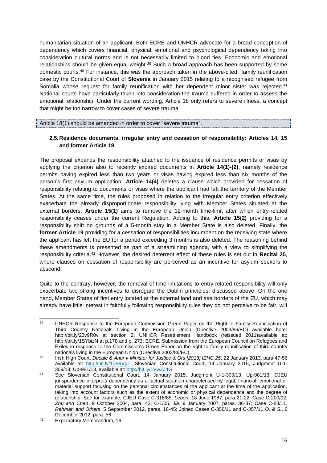humanitarian situation of an applicant. Both ECRE and UNHCR advocate for a broad conception of dependency which covers financial, physical, emotional and psychological dependency taking into consideration cultural norms and is not necessarily limited to blood ties. Economic and emotional relationships should be given equal weight.<sup>39</sup> Such a broad approach has been supported by some domestic courts.<sup>40</sup> For instance, this was the approach taken in the above-cited family reunification case by the Constitutional Court of **Slovenia** in January 2015 relating to a recognised refugee from Somalia whose request for family reunification with her dependent minor sister was rejected.<sup>41</sup> National courts have particularly taken into consideration the trauma suffered in order to assess the emotional relationship. Under the current wording, Article 18 only refers to severe illness, a concept that might be too narrow to cover cases of severe trauma.

Article 18(1) should be amended in order to cover "severe trauma".

#### <span id="page-16-0"></span>**2.5.Residence documents, irregular entry and cessation of responsibility: Articles 14, 15 and former Article 19**

The proposal expands the responsibility attached to the issuance of residence permits or visas by applying the criterion also to recently expired documents in **Article 14(1)-(2)**, namely residence permits having expired less than two years or visas having expired less than six months of the person's first asylum application. **Article 14(4)** deletes a clause which provided for cessation of responsibility relating to documents or visas where the applicant had left the territory of the Member States. At the same time, the rules proposed in relation to the irregular entry criterion effectively exacerbate the already disproportionate responsibility lying with Member States situated at the external borders. **Article 15(1)** aims to remove the 12-month time-limit after which entry-related responsibility ceases under the current Regulation. Adding to this, **Article 15(2)** providing for a responsibility shift on grounds of a 5-month stay in a Member State is also deleted. Finally, the former Article 19 providing for a cessation of responsibilities incumbent on the receiving state where the applicant has left the EU for a period exceeding 3 months is also deleted. The reasoning behind these amendments is presented as part of a streamlining agenda, with a view to simplifying the responsibility criteria.<sup>42</sup> However, the desired deterrent effect of these rules is set out in **Recital 25**, where clauses on cessation of responsibility are perceived as an incentive for asylum seekers to abscond.

Quite to the contrary, however, the removal of time limitations to entry-related responsibility will only exacerbate two strong incentives to disregard the Dublin principles, discussed above. On the one hand, Member States of first entry located at the external land and sea borders of the EU, which may already have little interest in faithfully following responsibility rules they do not perceive to be fair, will

<sup>39</sup> UNHCR Response to the European Commission Green Paper on the Right to Family Reunification of Third Country Nationals Living in the European Union (Directive 2003/86/EC) available here: http://bit.ly/23v9R0v at section 2; UNHCR Resettlement Handbook (reissued 2011)available at: http://bit.ly/1SYbizN at p.178 and p. 273; ECRE, Submission from the European Council on Refugees and Exiles in response to the Commission's Green Paper on the right to family reunification of third-country nationals living in the European Union (Directive 2003/86/EC).

<sup>40</sup> Irish High Court, *Ducale & Anor v Minister for Justice & Ors [2013] IEHC 25*, 22 January 2013, para 47-56 available at: http://bit.ly/1qB9VqT; Slovenian Constitutional Court, 14 January 2015, Judgment U-1-309/13, Up-981/13, available at: [http://bit.ly/1VwZJ4G.](http://bit.ly/1VwZJ4G)

<sup>41</sup> See Slovenian Constitutional Court, 14 January 2015, Judgment U-1-309/13, Up-981/13. CJEU jurisprudence interprets dependency as a factual situation characterised by legal, financial, emotional or material support focusing on the personal circumstances of the applicant at the time of the application, taking into account factors such as the extent of economic or physical dependence and the degree of relationship. See for example, CJEU Case C-316/85, *Lebon*, 18 June 1987, para 21-22; Case C-200/02, *Zhu and Chen*, 9 October 2004, para. 43; C-1/05, *Jia*, 9 January 2007, paras. 36-37; Case C-83/11, *Rahman and Others*, 5 September 2012, paras. 18-45; Joined Cases C-356/11 and C-357/11 *O. & S.*, 6 December 2012, para. 56.

<sup>42</sup> Explanatory Memorandum, 16.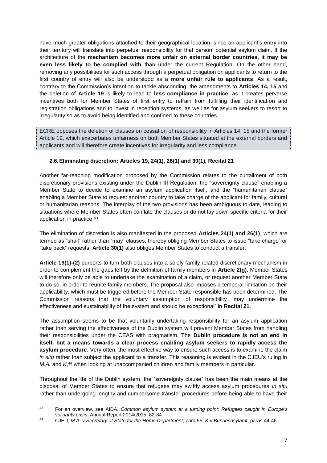have much greater obligations attached to their geographical location, since an applicant's entry into their territory will translate into perpetual responsibility for that person' potential asylum claim. If the architecture of the **mechanism becomes more unfair on external border countries, it may be even less likely to be complied with** than under the current Regulation. On the other hand, removing any possibilities for such access through a perpetual obligation on applicants to return to the first country of entry will also be understood as a **more unfair rule to applicants**. As a result, contrary to the Commission's intention to tackle absconding, the amendments to **Articles 14, 15** and the deletion of **Article 19** is likely to lead to **less compliance in practice**, as it creates perverse incentives both for Member States of first entry to refrain from fulfilling their identification and registration obligations and to invest in reception systems, as well as for asylum seekers to resort to irregularity so as to avoid being identified and confined to these countries.

ECRE opposes the deletion of clauses on cessation of responsibility in Articles 14, 15 and the former Article 19, which exacerbates unfairness on both Member States situated at the external borders and applicants and will therefore create incentives for irregularity and less compliance.

## <span id="page-17-0"></span>**2.6.Eliminating discretion: Articles 19, 24(1), 26(1) and 30(1), Recital 21**

Another far-reaching modification proposed by the Commission relates to the curtailment of both discretionary provisions existing under the Dublin III Regulation: the "sovereignty clause" enabling a Member State to decide to examine an asylum application itself, and the "humanitarian clause" enabling a Member State to request another country to take charge of the applicant for family, cultural or humanitarian reasons. The interplay of the two provisions has been ambiguous to date, leading to situations where Member States often conflate the clauses or do not lay down specific criteria for their application in practice.<sup>43</sup>

The elimination of discretion is also manifested in the proposed **Articles 24(1) and 26(1)**, which are termed as "shall" rather than "may" clauses, thereby obliging Member States to issue "take charge" or "take back" requests. **Article 30(1)** also obliges Member States to conduct a transfer.

**Article 19(1)-(2)** purports to turn both clauses into a solely family-related discretionary mechanism in order to complement the gaps left by the definition of family members in **Article 2(g)**. Member States will therefore only be able to undertake the examination of a claim, or request another Member State to do so, in order to reunite family members. The proposal also imposes a temporal limitation on their applicability, which must be triggered before the Member State responsible has been determined. The Commission reasons that the voluntary assumption of responsibility "may undermine the effectiveness and sustainability of the system and should be exceptional" in **Recital 21**.

The assumption seems to be that voluntarily undertaking responsibility for an asylum application rather than serving the effectiveness of the Dublin system will prevent Member States from handling their responsibilities under the CEAS with pragmatism. The **Dublin procedure is not an end in itself, but a means towards a clear process enabling asylum seekers to rapidly access the asylum procedure**. Very often, the most effective way to ensure such access is to examine the claim *in situ* rather than subject the applicant to a transfer. This reasoning is evident in the CJEU's ruling in *M.A.* and *K*, <sup>44</sup> when looking at unaccompanied children and family members in particular.

Throughout the life of the Dublin system, the "sovereignty clause" has been the main means at the disposal of Member States to ensure that refugees may swiftly access asylum procedures *in situ* rather than undergoing lengthy and cumbersome transfer procedures before being able to have their

<sup>1</sup> <sup>43</sup> For an overview, see AIDA, *Common asylum system at a turning point: Refugees caught in Europe's solidarity crisis*, Annual Report 2014/2015, 82-84.

<sup>44</sup> CJEU, *M.A. v Secretary of State for the Home Department*, para 55; *K v Bundesasylamt*, paras 44-46.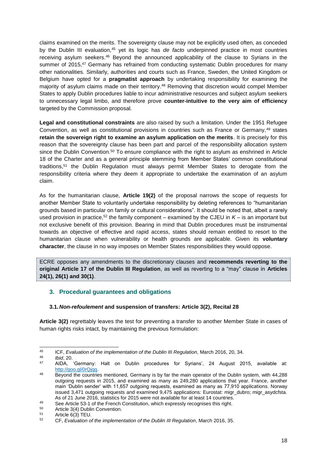claims examined on the merits. The sovereignty clause may not be explicitly used often, as conceded by the Dublin III evaluation,<sup>45</sup> yet its logic has *de facto* underpinned practice in most countries receiving asylum seekers.<sup>46</sup> Beyond the announced applicability of the clause to Syrians in the summer of 2015.<sup>47</sup> Germany has refrained from conducting systematic Dublin procedures for many other nationalities. Similarly, authorities and courts such as France, Sweden, the United Kingdom or Belgium have opted for a **pragmatist approach** by undertaking responsibility for examining the majority of asylum claims made on their territory.<sup>48</sup> Removing that discretion would compel Member States to apply Dublin procedures liable to incur administrative resources and subject asylum seekers to unnecessary legal limbo, and therefore prove **counter-intuitive to the very aim of efficiency** targeted by the Commission proposal.

**Legal and constitutional constraints** are also raised by such a limitation. Under the 1951 Refugee Convention, as well as constitutional provisions in countries such as France or Germany, 49 states **retain the sovereign right to examine an asylum application on the merits**. It is precisely for this reason that the sovereignty clause has been part and parcel of the responsibility allocation system since the Dublin Convention.<sup>50</sup> To ensure compliance with the right to asylum as enshrined in Article 18 of the Charter and as a general principle stemming from Member States' common constitutional traditions,<sup>51</sup> the Dublin Regulation must always permit Member States to derogate from the responsibility criteria where they deem it appropriate to undertake the examination of an asylum claim.

As for the humanitarian clause, **Article 19(2)** of the proposal narrows the scope of requests for another Member State to voluntarily undertake responsibility by deleting references to "humanitarian grounds based in particular on family or cultural considerations". It should be noted that, albeit a rarely used provision in practice,<sup>52</sup> the family component – examined by the CJEU in *K* – is an important but not exclusive benefit of this provision. Bearing in mind that Dublin procedures must be instrumental towards an objective of effective and rapid access, states should remain entitled to resort to the humanitarian clause when vulnerability or health grounds are applicable. Given its **voluntary character**, the clause in no way imposes on Member States responsibilities they would oppose.

ECRE opposes any amendments to the discretionary clauses and **recommends reverting to the original Article 17 of the Dublin III Regulation**, as well as reverting to a "may" clause in **Articles 24(1), 26(1) and 30(1)**.

## <span id="page-18-0"></span>**3. Procedural guarantees and obligations**

#### <span id="page-18-1"></span>**3.1.***Non-refoulement* **and suspension of transfers: Article 3(2), Recital 28**

**Article 3(2)** regrettably leaves the test for preventing a transfer to another Member State in cases of human rights risks intact, by maintaining the previous formulation:

 $45 \overline{6}$ <sup>45</sup> ICF, *Evaluation of the implementation of the Dublin III Regulation*, March 2016, 20, 34.

<sup>46</sup> *Ibid*, 20.

<sup>47</sup> AIDA, 'Germany: Halt on Dublin procedures for Syrians', 24 August 2015, available at: [http://goo.gl/0rQjqq.](http://goo.gl/0rQjqq)

<sup>48</sup> Beyond the countries mentioned, Germany is by far the main operator of the Dublin system, with 44,288 outgoing requests in 2015, and examined as many as 249,280 applications that year. France, another main 'Dublin sender' with 11,657 outgoing requests, examined as many as 77,910 applications. Norway issued 3,471 outgoing requests and examined 9,475 applications: Eurostat: migr\_dubro; migr\_asydcfsta. As of 21 June 2016, statistics for 2015 were not available for at least 14 countries.

<sup>49</sup> See Article 53-1 of the French Constitution, which expressly recognises this right.

<sup>&</sup>lt;sup>50</sup> Article 3(4) Dublin Convention.<br>51 Article  $6(2)$  TELL

 $51$  Article 6(3) TEU.

<sup>52</sup> CF, *Evaluation of the implementation of the Dublin III Regulation*, March 2016, 35.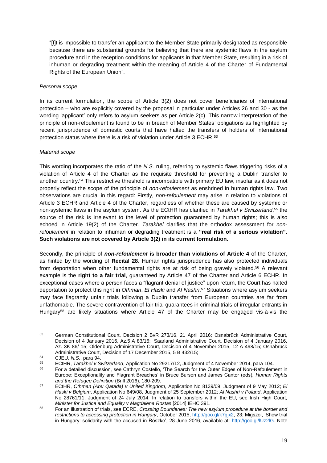"[I]t is impossible to transfer an applicant to the Member State primarily designated as responsible because there are substantial grounds for believing that there are systemic flaws in the asylum procedure and in the reception conditions for applicants in that Member State, resulting in a risk of inhuman or degrading treatment within the meaning of Article 4 of the Charter of Fundamental Rights of the European Union".

## *Personal scope*

In its current formulation, the scope of Article 3(2) does not cover beneficiaries of international protection – who are explicitly covered by the proposal in particular under Articles 26 and 30 - as the wording 'applicant' only refers to asylum seekers as per Article 2(c). This narrow interpretation of the principle of non-refoulement is found to be in breach of Member States' obligations as highlighted by recent jurisprudence of domestic courts that have halted the transfers of holders of international protection status where there is a risk of violation under Article 3 ECHR.<sup>53</sup>

## *Material scope*

This wording incorporates the ratio of the *N.S.* ruling, referring to systemic flaws triggering risks of a violation of Article 4 of the Charter as the requisite threshold for preventing a Dublin transfer to another country. <sup>54</sup> This restrictive threshold is incompatible with primary EU law, insofar as it does not properly reflect the scope of the principle of *non-refoulement* as enshrined in human rights law. Two observations are crucial in this regard: Firstly, *non-refoulement* may arise in relation to violations of Article 3 ECHR and Article 4 of the Charter, regardless of whether these are caused by systemic or non-systemic flaws in the asylum system. As the ECtHR has clarified in *Tarakhel v Switzerland*, <sup>55</sup> the source of the risk is irrelevant to the level of protection guaranteed by human rights; this is also echoed in Article 19(2) of the Charter. *Tarakhel* clarifies that the orthodox assessment for *nonrefoulement* in relation to inhuman or degrading treatment is a **"real risk of a serious violation"**. **Such violations are not covered by Article 3(2) in its current formulation.**

Secondly, the principle of *non-refoulement* **is broader than violations of Article 4** of the Charter, as hinted by the wording of **Recital 28**. Human rights jurisprudence has also protected individuals from deportation when other fundamental rights are at risk of being gravely violated.<sup>56</sup> A relevant example is the **right to a fair trial**, guaranteed by Article 47 of the Charter and Article 6 ECHR. In exceptional cases where a person faces a "flagrant denial of justice" upon return, the Court has halted deportation to protect this right in *Othman*, *El Haski* and *Al Nashri*. <sup>57</sup> Situations where asylum seekers may face flagrantly unfair trials following a Dublin transfer from European countries are far from unfathomable. The severe contravention of fair trial guarantees in criminal trials of irregular entrants in Hungary<sup>58</sup> are likely situations where Article 47 of the Charter may be engaged vis-à-vis the

 $53$ <sup>53</sup> German Constitutional Court, Decision 2 BvR 273/16, 21 April 2016; Osnabrück Administrative Court, Decision of 4 January 2016, Az.5 A 83/15; Saarland Administrative Court, Decision of 4 January 2016, Az. 3K 86/ 15; Oldenburg Administrative Court, Decision of 4 November 2015, 12 A 498/15; Osnabrück Administrative Court, Decision of 17 December 2015, 5 B 432/15;

<sup>54</sup> CJEU, *N.S.*, para 94.

<sup>55</sup> ECtHR, *Tarakhel v Switzerland*, Application No 29217/12, Judgment of 4 November 2014, para 104.

<sup>56</sup> For a detailed discussion, see Cathryn Costello, 'The Search for the Outer Edges of Non-Refoulement in Europe: Exceptionality and Flagrant Breaches' in Bruce Burson and James Cantor (eds), *Human Rights and the Refugee Definition* (Brill 2016), 180-209.

<sup>57</sup> ECtHR, *Othman (Abu Qatada) v United Kingdom*, Application No 8139/09, Judgment of 9 May 2012; *El Haski v Belgium*, Application No 649/08, Judgment of 25 September 2012; *Al Nashri v Poland*, Application No 28761/11, Judgment of 24 July 2014. In relation to transfers within the EU, see Irish High Court, *Minister for Justice and Equality v Magdalena Rostas* [2014] IEHC 391.

<sup>58</sup> For an illustration of trials, see ECRE, *Crossing Boundaries: The new asylum procedure at the border and restrictions to accessing protection in Hungary*, October 2015, [http://goo.gl/k7gjx2,](http://goo.gl/k7gjx2) 23; Migszol, 'Show trial in Hungary: solidarity with the accused in Röszke', 28 June 2016, available at: http://goo.gl/IUz2lG. Note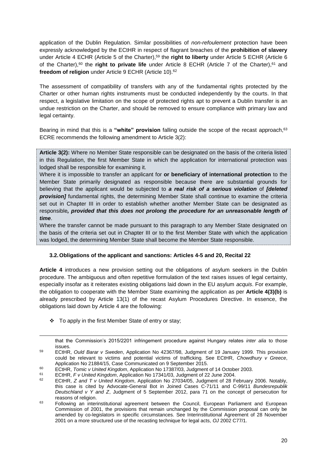application of the Dublin Regulation. Similar possibilities of *non-refoulement* protection have been expressly acknowledged by the ECtHR in respect of flagrant breaches of the **prohibition of slavery** under Article 4 ECHR (Article 5 of the Charter), <sup>59</sup> the **right to liberty** under Article 5 ECHR (Article 6 of the Charter),<sup>60</sup> the **right to private life** under Article 8 ECHR (Article 7 of the Charter),<sup>61</sup> and **freedom of religion** under Article 9 ECHR (Article 10). 62

The assessment of compatibility of transfers with any of the fundamental rights protected by the Charter or other human rights instruments must be conducted independently by the courts. In that respect, a legislative limitation on the scope of protected rights apt to prevent a Dublin transfer is an undue restriction on the Charter, and should be removed to ensure compliance with primary law and legal certainty.

Bearing in mind that this is a **"white" provision** falling outside the scope of the recast approach, 63 ECRE recommends the following amendment to Article 3(2):

**Article 3(2):** Where no Member State responsible can be designated on the basis of the criteria listed in this Regulation, the first Member State in which the application for international protection was lodged shall be responsible for examining it.

Where it is impossible to transfer an applicant for **or beneficiary of international protection** to the Member State primarily designated as responsible because there are substantial grounds for believing that the applicant would be subjected to *a real risk of a serious violation* of *[deleted*  **provision]** fundamental rights, the determining Member State shall continue to examine the criteria set out in Chapter III in order to establish whether another Member State can be designated as responsible*, provided that this does not prolong the procedure for an unreasonable length of time*.

Where the transfer cannot be made pursuant to this paragraph to any Member State designated on the basis of the criteria set out in Chapter III or to the first Member State with which the application was lodged, the determining Member State shall become the Member State responsible.

## <span id="page-20-0"></span>**3.2.Obligations of the applicant and sanctions: Articles 4-5 and 20, Recital 22**

**Article 4** introduces a new provision setting out the obligations of asylum seekers in the Dublin procedure. The ambiguous and often repetitive formulation of the text raises issues of legal certainty, especially insofar as it reiterates existing obligations laid down in the EU asylum *acquis*. For example, the obligation to cooperate with the Member State examining the application as per **Article 4(3)(b)** is already prescribed by Article 13(1) of the recast Asylum Procedures Directive. In essence, the obligations laid down by Article 4 are the following:

To apply in the first Member State of entry or stay;

-

that the Commission's 2015/2201 infringement procedure against Hungary relates *inter alia* to those issues.

<sup>59</sup> ECtHR, *Ould Barar v Sweden*, Application No 42367/98, Judgment of 19 January 1999. This provision could be relevant to victims and potential victims of trafficking. See ECtHR, *Chowdhury v Greece*, Application No 21884/15, Case Communicated on 9 September 2015.

<sup>60</sup> ECtHR, *Tomic v United Kingdom*, Application No 17387/03, Judgment of 14 October 2003.

<sup>61</sup> ECtHR, *F v United Kingdom*, Application No 17341/03, Judgment of 22 June 2004.

<sup>62</sup> ECtHR, *Z and T v United Kingdom*, Application No 27034/05, Judgment of 28 February 2006. Notably, this case is cited by Advocate-General Bot in Joined Cases C-71/11 and C-99/11 *Bundesrepublik Deutschland v Y and Z*, Judgment of 5 September 2012, para 71 on the concept of persecution for reasons of religion.

<sup>&</sup>lt;sup>63</sup> Following an interinstitutional agreement between the Council, European Parliament and European Commission of 2001, the provisions that remain unchanged by the Commission proposal can only be amended by co-legislators in specific circumstances. See Interinstitutional Agreement of 28 November 2001 on a more structured use of the recasting technique for legal acts, *OJ* 2002 C77/1.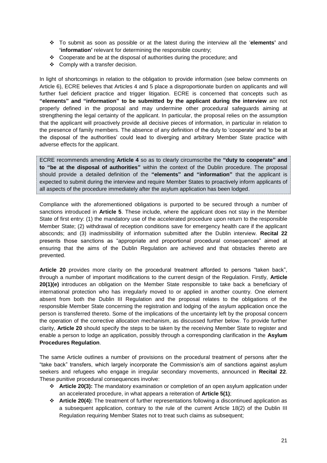- To submit as soon as possible or at the latest during the interview all the '**elements'** and **'information'** relevant for determining the responsible country;
- Cooperate and be at the disposal of authorities during the procedure; and
- ❖ Comply with a transfer decision.

In light of shortcomings in relation to the obligation to provide information (see below comments on Article 6), ECRE believes that Articles 4 and 5 place a disproportionate burden on applicants and will further fuel deficient practice and trigger litigation. ECRE is concerned that concepts such as **"elements" and "information" to be submitted by the applicant during the interview** are not properly defined in the proposal and may undermine other procedural safeguards aiming at strengthening the legal certainty of the applicant. In particular, the proposal relies on the assumption that the applicant will proactively provide all decisive pieces of information, in particular in relation to the presence of family members. The absence of any definition of the duty to 'cooperate' and 'to be at the disposal of the authorities' could lead to diverging and arbitrary Member State practice with adverse effects for the applicant.

ECRE recommends amending **Article 4** so as to clearly circumscribe the **"duty to cooperate" and to "be at the disposal of authorities"** within the context of the Dublin procedure. The proposal should provide a detailed definition of the **"elements" and "information"** that the applicant is expected to submit during the interview and require Member States to proactively inform applicants of all aspects of the procedure immediately after the asylum application has been lodged.

Compliance with the aforementioned obligations is purported to be secured through a number of sanctions introduced in **Article 5**. These include, where the applicant does not stay in the Member State of first entry: (1) the mandatory use of the accelerated procedure upon return to the responsible Member State; (2) withdrawal of reception conditions save for emergency health care if the applicant absconds; and (3) inadmissibility of information submitted after the Dublin interview. **Recital 22** presents those sanctions as "appropriate and proportional procedural consequences" aimed at ensuring that the aims of the Dublin Regulation are achieved and that obstacles thereto are prevented.

**Article 20** provides more clarity on the procedural treatment afforded to persons "taken back", through a number of important modifications to the current design of the Regulation. Firstly, **Article 20(1)(e)** introduces an obligation on the Member State responsible to take back a beneficiary of international protection who has irregularly moved to or applied in another country. One element absent from both the Dublin III Regulation and the proposal relates to the obligations of the responsible Member State concerning the registration and lodging of the asylum application once the person is transferred thereto. Some of the implications of the uncertainty left by the proposal concern the operation of the corrective allocation mechanism, as discussed further below. To provide further clarity, **Article 20** should specify the steps to be taken by the receiving Member State to register and enable a person to lodge an application, possibly through a corresponding clarification in the **Asylum Procedures Regulation**.

The same Article outlines a number of provisions on the procedural treatment of persons after the "take back" transfers, which largely incorporate the Commission's aim of sanctions against asylum seekers and refugees who engage in irregular secondary movements, announced in **Recital 22**. These punitive procedural consequences involve:

- **Article 20(3):** The mandatory examination or completion of an open asylum application under an accelerated procedure, in what appears a reiteration of **Article 5(1)**;
- **Article 20(4):** The treatment of further representations following a discontinued application as a subsequent application, contrary to the rule of the current Article 18(2) of the Dublin III Regulation requiring Member States not to treat such claims as subsequent;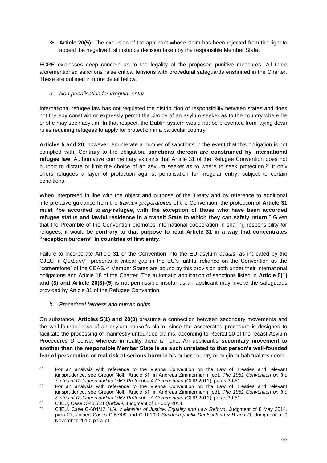**Article 20(5):** The exclusion of the applicant whose claim has been rejected from the right to appeal the negative first instance decision taken by the responsible Member State.

ECRE expresses deep concern as to the legality of the proposed punitive measures. All three aforementioned sanctions raise critical tensions with procedural safeguards enshrined in the Charter. These are outlined in more detail below.

## *a. Non-penalisation for irregular entry*

International refugee law has not regulated the distribution of responsibility between states and does not thereby constrain or expressly permit the choice of an asylum seeker as to the country where he or she may seek asylum. In that respect, the Dublin system would not be prevented from laying down rules requiring refugees to apply for protection in a particular country.

**Articles 5 and 20**, however, enumerate a number of sanctions in the event that this obligation is not complied with. Contrary to the obligation, **sanctions thereon** *are* **constrained by international refugee law**. Authoritative commentary explains that Article 31 of the Refugee Convention does not purport to dictate or limit the choice of an asylum seeker as to where to seek protection.<sup>64</sup> It only offers refugees a layer of protection against penalisation for irregular entry, subject to certain conditions.

When interpreted in line with the object and purpose of the Treaty and by reference to additional interpretative guidance from the *travaux préparatoires* of the Convention, the protection of **Article 31 must "be accorded to** *any* **refugee, with the exception of those who have been accorded refugee status and lawful residence in a transit State to which they can safely return**." Given that the Preamble of the Convention promotes international cooperation in sharing responsibility for refugees, it would be **contrary to that purpose to read Article 31 in a way that concentrates "reception burdens" in countries of first entry**. 65

Failure to incorporate Article 31 of the Convention into the EU asylum *acquis*, as indicated by the CJEU in *Qurbani*, <sup>66</sup> presents a critical gap in the EU's faithful reliance on the Convention as the "cornerstone" of the CEAS.<sup>67</sup> Member States are bound by this provision both under their international obligations and Article 18 of the Charter. The automatic application of sanctions listed in **Article 5(1) and (3) and Article 20(3)-(5)** is not permissible insofar as an applicant may invoke the safeguards provided by Article 31 of the Refugee Convention.

*b. Procedural fairness and human rights*

On substance, **Articles 5(1) and 20(3)** presume a connection between secondary movements and the well-foundedness of an asylum seeker's claim, since the accelerated procedure is designed to facilitate the processing of manifestly unfounded claims, according to Recital 20 of the recast Asylum Procedures Directive, whereas in reality there is none. An applicant's **secondary movement to another than the responsible Member State is as such unrelated to that person's well-founded fear of persecution or real risk of serious harm** in his or her country or origin or habitual residence.

 $64$ For an analysis with reference to the Vienna Convention on the Law of Treaties and relevant jurisprudence, see Gregor Noll, 'Article 31' in Andreas Zimmermann (ed), *The 1951 Convention on the Status of Refugees and its 1967 Protocol – A Commentary* (OUP 2011), paras 39-51.

<sup>&</sup>lt;sup>65</sup> For an analysis with reference to the Vienna Convention on the Law of Treaties and relevant jurisprudence, see Gregor Noll, 'Article 31' in Andreas Zimmermann (ed), *The 1951 Convention on the Status of Refugees and its 1967 Protocol – A Commentary* (OUP 2011), paras 39-51.

<sup>66</sup> CJEU, Case C-481/13 *Qurbani*, Judgment of 17 July 2014.

<sup>67</sup> CJEU, Case C-604/12 *H.N. v Minister of Justice, Equality and Law Reform*, Judgment of 8 May 2014, para 27; Joined Cases C-57/09 and C-101/09 *Bundesrepublik Deutschland v B and D*, Judgment of 9 November 2010, para 71.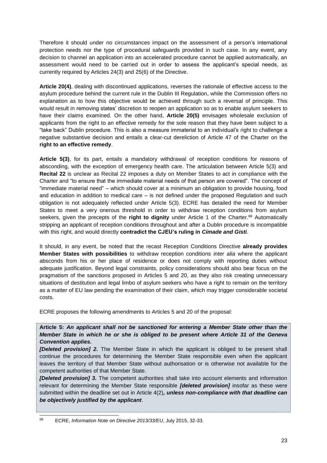Therefore it should under no circumstances impact on the assessment of a person's international protection needs nor the type of procedural safeguards provided in such case. In any event, any decision to channel an application into an accelerated procedure cannot be applied automatically, an assessment would need to be carried out in order to assess the applicant's special needs, as currently required by Articles 24(3) and 25(6) of the Directive.

**Article 20(4)**, dealing with discontinued applications, reverses the rationale of effective access to the asylum procedure behind the current rule in the Dublin III Regulation, while the Commission offers no explanation as to how this objective would be achieved through such a reversal of principle. This would result in removing states' discretion to reopen an application so as to enable asylum seekers to have their claims examined. On the other hand, **Article 20(5)** envisages wholesale exclusion of applicants from the right to an effective remedy for the sole reason that they have been subject to a "take back" Dublin procedure. This is also a measure immaterial to an individual's right to challenge a negative substantive decision and entails a clear-cut dereliction of Article 47 of the Charter on the **right to an effective remedy**.

**Article 5(3)**, for its part, entails a mandatory withdrawal of reception conditions for reasons of absconding, with the exception of emergency health care. The articulation between Article 5(3) and **Recital 22** is unclear as Recital 22 imposes a duty on Member States to act in compliance with the Charter and "to ensure that the immediate material needs of that person are covered". The concept of "immediate material need" – which should cover at a minimum an obligation to provide housing, food and education in addition to medical care – is not defined under the proposed Regulation and such obligation is not adequately reflected under Article 5(3). ECRE has detailed the need for Member States to meet a very onerous threshold in order to withdraw reception conditions from asylum seekers, given the precepts of the **right to dignity** under Article 1 of the Charter.<sup>68</sup> Automatically stripping an applicant of reception conditions throughout and after a Dublin procedure is incompatible with this right, and would directly **contradict the CJEU's ruling in** *Cimade and Gisti*.

It should, in any event, be noted that the recast Reception Conditions Directive **already provides Member States with possibilities** to withdraw reception conditions *inter alia* where the applicant absconds from his or her place of residence or does not comply with reporting duties without adequate justification. Beyond legal constraints, policy considerations should also bear focus on the pragmatism of the sanctions proposed in Articles 5 and 20, as they also risk creating unnecessary situations of destitution and legal limbo of asylum seekers who have a right to remain on the territory as a matter of EU law pending the examination of their claim, which may trigger considerable societal costs.

ECRE proposes the following amendments to Articles 5 and 20 of the proposal:

**Article 5:** *An applicant shall not be sanctioned for entering a Member State other than the Member State in which he or she is obliged to be present where Article 31 of the Geneva Convention applies.*

*[Deleted provision] 2.* The Member State in which the applicant is obliged to be present shall continue the procedures for determining the Member State responsible even when the applicant leaves the territory of that Member State without authorisation or is otherwise not available for the competent authorities of that Member State.

*[Deleted provision] 3.* The competent authorities shall take into account elements and information relevant for determining the Member State responsible *[deleted provision]* insofar as these were submitted within the deadline set out in Article 4(2)*, unless non-compliance with that deadline can be objectively justified by the applicant*.

68 <sup>68</sup> ECRE, *Information Note on Directive 2013/33/EU*, July 2015, 32-33.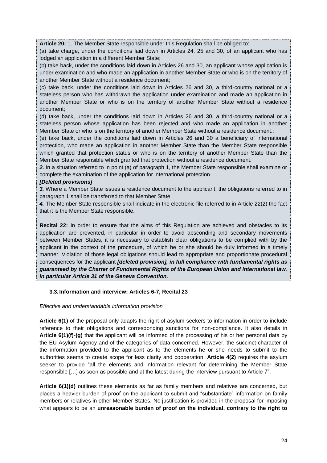**Article 20:** 1. The Member State responsible under this Regulation shall be obliged to:

(a) take charge, under the conditions laid down in Articles 24, 25 and 30, of an applicant who has lodged an application in a different Member State;

(b) take back, under the conditions laid down in Articles 26 and 30, an applicant whose application is under examination and who made an application in another Member State or who is on the territory of another Member State without a residence document;

(c) take back, under the conditions laid down in Articles 26 and 30, a third-country national or a stateless person who has withdrawn the application under examination and made an application in another Member State or who is on the territory of another Member State without a residence document;

(d) take back, under the conditions laid down in Articles 26 and 30, a third-country national or a stateless person whose application has been rejected and who made an application in another Member State or who is on the territory of another Member State without a residence document.;

(e) take back, under the conditions laid down in Articles 26 and 30 a beneficiary of international protection, who made an application in another Member State than the Member State responsible which granted that protection status or who is on the territory of another Member State than the Member State responsible which granted that protection without a residence document.

*2.* In a situation referred to in point (a) of paragraph 1, the Member State responsible shall examine or complete the examination of the application for international protection.

#### *[Deleted provisions]*

*3.* Where a Member State issues a residence document to the applicant, the obligations referred to in paragraph 1 shall be transferred to that Member State.

*4.* The Member State responsible shall indicate in the electronic file referred to in Article 22(2) the fact that it is the Member State responsible.

**Recital 22:** In order to ensure that the aims of this Regulation are achieved and obstacles to its application are prevented, in particular in order to avoid absconding and secondary movements between Member States, it is necessary to establish clear obligations to be complied with by the applicant in the context of the procedure, of which he or she should be duly informed in a timely manner. Violation of those legal obligations should lead to appropriate and proportionate procedural consequences for the applicant *[deleted provision], in full compliance with fundamental rights as guaranteed by the Charter of Fundamental Rights of the European Union and international law, in particular Article 31 of the Geneva Convention*.

#### <span id="page-24-0"></span>**3.3. Information and interview: Articles 6-7, Recital 23**

#### *Effective and understandable information provision*

**Article 6(1)** of the proposal only adapts the right of asylum seekers to information in order to include reference to their obligations and corresponding sanctions for non-compliance. It also details in **Article 6(1)(f)-(g)** that the applicant will be informed of the processing of his or her personal data by the EU Asylum Agency and of the categories of data concerned. However, the succinct character of the information provided to the applicant as to the elements he or she needs to submit to the authorities seems to create scope for less clarity and cooperation. **Article 4(2)** requires the asylum seeker to provide "all the elements and information relevant for determining the Member State responsible […] as soon as possible and at the latest during the interview pursuant to Article 7".

**Article 6(1)(d)** outlines these elements as far as family members and relatives are concerned, but places a heavier burden of proof on the applicant to submit and "substantiate" information on family members or relatives in other Member States. No justification is provided in the proposal for imposing what appears to be an **unreasonable burden of proof on the individual, contrary to the right to**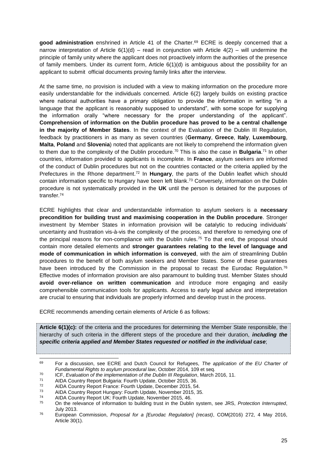**good administration** enshrined in Article 41 of the Charter.<sup>69</sup> ECRE is deeply concerned that a narrow interpretation of Article  $6(1)(d)$  – read in conjunction with Article  $4(2)$  – will undermine the principle of family unity where the applicant does not proactively inform the authorities of the presence of family members. Under its current form, Article 6(1)(d) is ambiguous about the possibility for an applicant to submit official documents proving family links after the interview.

At the same time, no provision is included with a view to making information on the procedure more easily understandable for the individuals concerned. Article 6(2) largely builds on existing practice where national authorities have a primary obligation to provide the information in writing "in a language that the applicant is reasonably supposed to understand", with some scope for supplying the information orally "where necessary for the proper understanding of the applicant". **Comprehension of information on the Dublin procedure has proved to be a central challenge in the majority of Member States**. In the context of the Evaluation of the Dublin III Regulation, feedback by practitioners in as many as seven countries (**Germany**, **Greece**, **Italy**, **Luxembourg**, **Malta**, **Poland** and **Slovenia**) noted that applicants are not likely to comprehend the information given to them due to the complexity of the Dublin procedure.<sup>70</sup> This is also the case in **Bulgaria**.<sup>71</sup> In other countries, information provided to applicants is incomplete. In **France**, asylum seekers are informed of the conduct of Dublin procedures but not on the countries contacted or the criteria applied by the Prefectures in the Rhone department.<sup>72</sup> In **Hungary**, the parts of the Dublin leaflet which should contain information specific to Hungary have been left blank.<sup>73</sup> Conversely, information on the Dublin procedure is not systematically provided in the **UK** until the person is detained for the purposes of transfer.<sup>74</sup>

ECRE highlights that clear and understandable information to asylum seekers is a **necessary precondition for building trust and maximising cooperation in the Dublin procedure**. Stronger investment by Member States in information provision will be catalytic to reducing individuals' uncertainty and frustration vis-à-vis the complexity of the process, and therefore to remedying one of the principal reasons for non-compliance with the Dublin rules.<sup>75</sup> To that end, the proposal should contain more detailed elements and **stronger guarantees relating to the level of language and mode of communication in which information is conveyed**, with the aim of streamlining Dublin procedures to the benefit of both asylum seekers and Member States. Some of these guarantees have been introduced by the Commission in the proposal to recast the Eurodac Regulation.<sup>76</sup> Effective modes of information provision are also paramount to building trust. Member States should **avoid over-reliance on written communication** and introduce more engaging and easily comprehensible communication tools for applicants. Access to early legal advice and interpretation are crucial to ensuring that individuals are properly informed and develop trust in the process.

ECRE recommends amending certain elements of Article 6 as follows:

**Article 6(1)(c):** of the criteria and the procedures for determining the Member State responsible, the hierarchy of such criteria in the different steps of the procedure and their duration, *including the specific criteria applied and Member States requested or notified in the individual case*;

<sup>69</sup> <sup>69</sup> For a discussion, see ECRE and Dutch Council for Refugees, *The application of the EU Charter of Fundamental Rights to asylum procedural law*, October 2014, 109 et seq.

<sup>70</sup> ICF, *Evaluation of the implementation of the Dublin III Regulation*, March 2016, 11.

<sup>71</sup> AIDA Country Report Bulgaria: Fourth Update, October 2015, 36.

<sup>72</sup> AIDA Country Report France: Fourth Update, December 2015, 54.

<sup>73</sup> AIDA Country Report Hungary: Fourth Update, November 2015, 35.<br>74 AIDA Country Report UK: Fourth Undete, November 2015, 46

<sup>&</sup>lt;sup>74</sup> AIDA Country Report UK: Fourth Update, November 2015, 46.<br> $\frac{75}{12}$  On the relevance of information to building trust in the Dublin

<sup>75</sup> On the relevance of information to building trust in the Dublin system, see JRS, *Protection Interrupted*, July 2013.

<sup>76</sup> European Commission, *Proposal for a [Eurodac Regulation] (recast)*, COM(2016) 272, 4 May 2016, Article 30(1).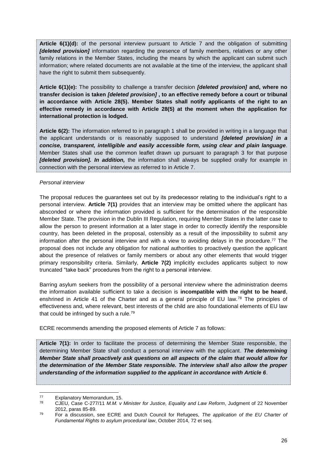**Article 6(1)(d):** of the personal interview pursuant to Article 7 and the obligation of submitting *[deleted provision]* information regarding the presence of family members, relatives or any other family relations in the Member States, including the means by which the applicant can submit such information; where related documents are not available at the time of the interview, the applicant shall have the right to submit them subsequently.

**Article 6(1)(e):** The possibility to challenge a transfer decision *[deleted provision]* **and, where no transfer decision is taken** *[deleted provision]* **, to an effective remedy before a court or tribunal in accordance with Article 28(5). Member States shall notify applicants of the right to an effective remedy in accordance with Article 28(5) at the moment when the application for international protection is lodged.**

**Article 6(2):** The information referred to in paragraph 1 shall be provided in writing in a language that the applicant understands or is reasonably supposed to understand *[deleted provision] in a concise, transparent, intelligible and easily accessible form, using clear and plain language*. Member States shall use the common leaflet drawn up pursuant to paragraph 3 for that purpose *[deleted provision]. In addition,* the information shall always be supplied orally for example in connection with the personal interview as referred to in Article 7.

#### *Personal interview*

The proposal reduces the guarantees set out by its predecessor relating to the individual's right to a personal interview. **Article 7(1)** provides that an interview may be omitted where the applicant has absconded or where the information provided is sufficient for the determination of the responsible Member State. The provision in the Dublin III Regulation, requiring Member States in the latter case to allow the person to present information at a later stage in order to correctly identify the responsible country, has been deleted in the proposal, ostensibly as a result of the impossibility to submit any information after the personal interview and with a view to avoiding delays in the procedure. <sup>77</sup> The proposal does not include any obligation for national authorities to proactively question the applicant about the presence of relatives or family members or about any other elements that would trigger primary responsibility criteria. Similarly, **Article 7(2)** implicitly excludes applicants subject to now truncated "take back" procedures from the right to a personal interview.

Barring asylum seekers from the possibility of a personal interview where the administration deems the information available sufficient to take a decision is **incompatible with the right to be heard**, enshrined in Article 41 of the Charter and as a general principle of EU law.<sup>78</sup> The principles of effectiveness and, where relevant, best interests of the child are also foundational elements of EU law that could be infringed by such a rule.<sup>79</sup>

ECRE recommends amending the proposed elements of Article 7 as follows:

**Article 7(1):** In order to facilitate the process of determining the Member State responsible, the determining Member State shall conduct a personal interview with the applicant. *The determining Member State shall proactively ask questions on all aspects of the claim that would allow for the determination of the Member State responsible. The interview shall also allow the proper understanding of the information supplied to the applicant in accordance with Article 6*.

 $77$  $^{77}$  Explanatory Memorandum, 15.

<sup>78</sup> CJEU, Case C-277/11 *M.M. v Minister for Justice, Equality and Law Reform*, Judgment of 22 November 2012, paras 85-89.

<sup>79</sup> For a discussion, see ECRE and Dutch Council for Refugees, *The application of the EU Charter of Fundamental Rights to asylum procedural law*, October 2014, 72 et seq.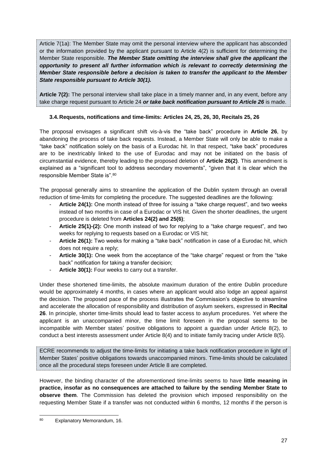Article 7(1a): The Member State may omit the personal interview where the applicant has absconded or the information provided by the applicant pursuant to Article 4(2) is sufficient for determining the Member State responsible. *The Member State omitting the interview shall give the applicant the opportunity to present all further information which is relevant to correctly determining the Member State responsible before a decision is taken to transfer the applicant to the Member State responsible pursuant to Article 30(1).*

**Article 7(2):** The personal interview shall take place in a timely manner and, in any event, before any take charge request pursuant to Article 24 *or take back notification pursuant to Article 26* is made.

## <span id="page-27-0"></span>**3.4.Requests, notifications and time-limits: Articles 24, 25, 26, 30, Recitals 25, 26**

The proposal envisages a significant shift vis-à-vis the "take back" procedure in **Article 26**, by abandoning the process of take back requests. Instead, a Member State will only be able to make a "take back" notification solely on the basis of a Eurodac hit. In that respect, "take back" procedures are to be inextricably linked to the use of Eurodac and may not be initiated on the basis of circumstantial evidence, thereby leading to the proposed deletion of **Article 26(2)**. This amendment is explained as a "significant tool to address secondary movements", "given that it is clear which the responsible Member State is".<sup>80</sup>

The proposal generally aims to streamline the application of the Dublin system through an overall reduction of time-limits for completing the procedure. The suggested deadlines are the following:

- Article 24(1): One month instead of three for issuing a "take charge request", and two weeks instead of two months in case of a Eurodac or VIS hit. Given the shorter deadlines, the urgent procedure is deleted from **Articles 24(2) and 25(6)**;
- **Article 25(1)-(2):** One month instead of two for replying to a "take charge request", and two weeks for replying to requests based on a Eurodac or VIS hit;
- **Article 26(1):** Two weeks for making a "take back" notification in case of a Eurodac hit, which does not require a reply;
- Article 30(1): One week from the acceptance of the "take charge" request or from the "take back" notification for taking a transfer decision;
- **Article 30(1):** Four weeks to carry out a transfer.

Under these shortened time-limits, the absolute maximum duration of the entire Dublin procedure would be approximately 4 months, in cases where an applicant would also lodge an appeal against the decision. The proposed pace of the process illustrates the Commission's objective to streamline and accelerate the allocation of responsibility and distribution of asylum seekers, expressed in **Recital 26**. In principle, shorter time-limits should lead to faster access to asylum procedures. Yet where the applicant is an unaccompanied minor, the time limit foreseen in the proposal seems to be incompatible with Member states' positive obligations to appoint a guardian under Article 8(2), to conduct a best interests assessment under Article 8(4) and to initiate family tracing under Article 8(5).

ECRE recommends to adjust the time-limits for initiating a take back notification procedure in light of Member States' positive obligations towards unaccompanied minors. Time-limits should be calculated once all the procedural steps foreseen under Article 8 are completed.

However, the binding character of the aforementioned time-limits seems to have **little meaning in practice, insofar as no consequences are attached to failure by the sending Member State to observe them**. The Commission has deleted the provision which imposed responsibility on the requesting Member State if a transfer was not conducted within 6 months, 12 months if the person is

<sup>80</sup> Explanatory Memorandum, 16.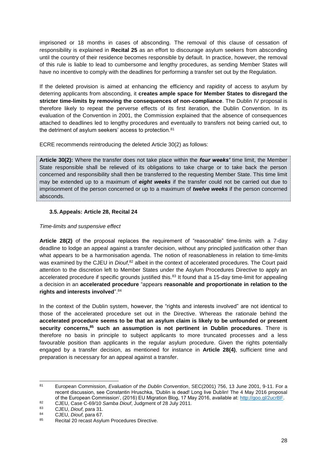imprisoned or 18 months in cases of absconding. The removal of this clause of cessation of responsibility is explained in **Recital 25** as an effort to discourage asylum seekers from absconding until the country of their residence becomes responsible by default. In practice, however, the removal of this rule is liable to lead to cumbersome and lengthy procedures, as sending Member States will have no incentive to comply with the deadlines for performing a transfer set out by the Regulation.

If the deleted provision is aimed at enhancing the efficiency and rapidity of access to asylum by deterring applicants from absconding, it **creates ample space for Member States to disregard the stricter time-limits by removing the consequences of non-compliance**. The Dublin IV proposal is therefore likely to repeat the perverse effects of its first iteration, the Dublin Convention. In its evaluation of the Convention in 2001, the Commission explained that the absence of consequences attached to deadlines led to lengthy procedures and eventually to transfers not being carried out, to the detriment of asylum seekers' access to protection.<sup>81</sup>

ECRE recommends reintroducing the deleted Article 30(2) as follows:

**Article 30(2):** Where the transfer does not take place within the *four weeks'* time limit, the Member State responsible shall be relieved of its obligations to take charge or to take back the person concerned and responsibility shall then be transferred to the requesting Member State. This time limit may be extended up to a maximum of *eight weeks* if the transfer could not be carried out due to imprisonment of the person concerned or up to a maximum of *twelve weeks* if the person concerned absconds.

## <span id="page-28-0"></span>**3.5.Appeals: Article 28, Recital 24**

## *Time-limits and suspensive effect*

**Article 28(2)** of the proposal replaces the requirement of "reasonable" time-limits with a 7-day deadline to lodge an appeal against a transfer decision, without any principled justification other than what appears to be a harmonisation agenda. The notion of reasonableness in relation to time-limits was examined by the CJEU in *Diout*,<sup>82</sup> albeit in the context of accelerated procedures. The Court paid attention to the discretion left to Member States under the Asylum Procedures Directive to apply an accelerated procedure if specific grounds justified this.<sup>83</sup> It found that a 15-day time-limit for appealing a decision in an **accelerated procedure** "appears **reasonable and proportionate in relation to the rights and interests involved**".<sup>84</sup>

In the context of the Dublin system, however, the "rights and interests involved" are not identical to those of the accelerated procedure set out in the Directive. Whereas the rationale behind the **accelerated procedure seems to be that an asylum claim is likely to be unfounded or present security concerns,<sup>85</sup> such an assumption is not pertinent in Dublin procedures**. There is therefore no basis in principle to subject applicants to more truncated processes and a less favourable position than applicants in the regular asylum procedure. Given the rights potentially engaged by a transfer decision, as mentioned for instance in **Article 28(4)**, sufficient time and preparation is necessary for an appeal against a transfer.

 $R<sub>1</sub>$ <sup>81</sup> European Commission, *Evaluation of the Dublin Convention*, SEC(2001) 756, 13 June 2001, 9-11. For a recent discussion, see Constantin Hruschka, 'Dublin is dead! Long live Dublin! The 4 May 2016 proposal of the European Commission', (2016) EU Migration Blog, 17 May 2016, available at: [http://goo.gl/2ucrBF.](http://goo.gl/2ucrBF)

<sup>82</sup> CJEU, Case C-69/10 *Samba Diouf*, Judgment of 28 July 2011.

<sup>83</sup> CJEU, *Diouf*, para 31.

<sup>84</sup> CJEU, *Diouf*, para 67.<br>85 Becital 20 recost Asylu

Recital 20 recast Asylum Procedures Directive.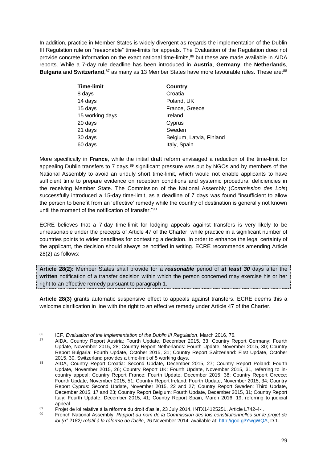In addition, practice in Member States is widely divergent as regards the implementation of the Dublin III Regulation rule on "reasonable" time-limits for appeals. The Evaluation of the Regulation does not provide concrete information on the exact national time-limits,<sup>86</sup> but these are made available in AIDA reports. While a 7-day rule deadline has been introduced in **Austria**, **Germany**, the **Netherlands**, Bulgaria and Switzerland,<sup>87</sup> as many as 13 Member States have more favourable rules. These are:<sup>88</sup>

| <b>Time-limit</b> | <b>Country</b>           |
|-------------------|--------------------------|
| 8 days            | Croatia                  |
| 14 days           | Poland, UK               |
| 15 days           | France, Greece           |
| 15 working days   | Ireland                  |
| 20 days           | Cyprus                   |
| 21 days           | Sweden                   |
| 30 days           | Belgium, Latvia, Finland |
| 60 days           | Italy, Spain             |

More specifically in **France**, while the initial draft reform envisaged a reduction of the time-limit for appealing Dublin transfers to 7 days,<sup>89</sup> significant pressure was put by NGOs and by members of the National Assembly to avoid an unduly short time-limit, which would not enable applicants to have sufficient time to prepare evidence on reception conditions and systemic procedural deficiencies in the receiving Member State. The Commission of the National Assembly (*Commission des Lois*) successfully introduced a 15-day time-limit, as a deadline of 7 days was found "insufficient to allow the person to benefit from an 'effective' remedy while the country of destination is generally not known until the moment of the notification of transfer."<sup>90</sup>

ECRE believes that a 7-day time-limit for lodging appeals against transfers is very likely to be unreasonable under the precepts of Article 47 of the Charter, while practice in a significant number of countries points to wider deadlines for contesting a decision. In order to enhance the legal certainty of the applicant, the decision should always be notified in writing. ECRE recommends amending Article 28(2) as follows:

**Article 28(2):** Member States shall provide for a *reasonable* period of *at least 30* days after the **written** notification of a transfer decision within which the person concerned may exercise his or her right to an effective remedy pursuant to paragraph 1.

**Article 28(3)** grants automatic suspensive effect to appeals against transfers. ECRE deems this a welcome clarification in line with the right to an effective remedy under Article 47 of the Charter.

<sup>86</sup> <sup>86</sup> ICF, *Evaluation of the implementation of the Dublin III Regulation*, March 2016, 76.

<sup>87</sup> AIDA, Country Report Austria: Fourth Update, December 2015, 33; Country Report Germany: Fourth Update, November 2015, 28; Country Report Netherlands: Fourth Update, November 2015, 30; Country Report Bulgaria: Fourth Update, October 2015, 31; Country Report Switzerland: First Update, October 2015, 30. Switzerland provides a time-limit of 5 working days.

<sup>88</sup> AIDA, Country Report Croatia: Second Update, December 2015, 27; Country Report Poland: Fourth Update, November 2015, 26; Country Report UK: Fourth Update, November 2015, 31, referring to incountry appeal; Country Report France: Fourth Update, December 2015, 38; Country Report Greece: Fourth Update, November 2015, 51; Country Report Ireland: Fourth Update, November 2015, 34; Country Report Cyprus: Second Update, November 2015, 22 and 27; Country Report Sweden: Third Update, December 2015, 17 and 23; Country Report Belgium: Fourth Update, December 2015, 31; Country Report Italy: Fourth Update, December 2015, 41; Country Report Spain, March 2016, 19, referring to judicial appeal.

<sup>89</sup> Projet de loi relative à la réforme du droit d'asile, 23 July 2014, INTX1412525L, Article L742-4-I.<br>80 Espach National Assembly, Pennert au nom de la Commission des leis constitutionnelles aux les

<sup>90</sup> French National Assembly, *Rapport au nom de la Commission des lois constitutionnelles sur le projet de loi (n° 2182) relatif à la réforme de l'asile*, 26 November 2014, available at[: http://goo.gl/YwgWQA,](http://goo.gl/YwgWQA) D.1.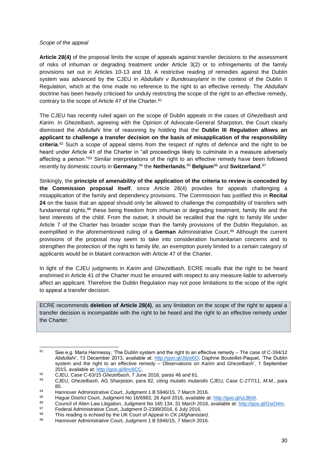#### *Scope of the appeal*

**Article 28(4)** of the proposal limits the scope of appeals against transfer decisions to the assessment of risks of inhuman or degrading treatment under Article 3(2) or to infringements of the family provisions set out in Articles 10-13 and 18. A restrictive reading of remedies against the Dublin system was advanced by the CJEU in *Abdullahi v Bundesasylamt* in the context of the Dublin II Regulation, which at the time made no reference to the right to an effective remedy. The *Abdullahi*  doctrine has been heavily criticised for unduly restricting the scope of the right to an effective remedy, contrary to the scope of Article 47 of the Charter.<sup>91</sup>

The CJEU has recently ruled again on the scope of Dublin appeals in the cases of *Ghezelbash* and *Karim*. In *Ghezelbash*, agreeing with the Opinion of Advocate-General Sharpston, the Court clearly dismissed the *Abdullahi* line of reasoning by holding that the **Dublin III Regulation allows an applicant to challenge a transfer decision on the basis of misapplication of the responsibility criteria**. <sup>92</sup> Such a scope of appeal stems from the respect of rights of defence and the right to be heard under Article 41 of the Charter in "all proceedings likely to culminate in a measure adversely affecting a person."<sup>93</sup> Similar interpretations of the right to an effective remedy have been followed recently by domestic courts in **Germany**, <sup>94</sup> the **Netherlands**, <sup>95</sup> **Belgium**<sup>96</sup> and **Switzerland**. 97

Strikingly, the **principle of amenability of the application of the criteria to review is conceded by the Commission proposal itself**, since Article 28(4) provides for appeals challenging a misapplication of the family and dependency provisions. The Commission has justified this in **Recital 24** on the basis that an appeal should only be allowed to challenge the compatibility of transfers with fundamental rights,<sup>98</sup> these being freedom from inhuman or degrading treatment, family life and the best interests of the child. From the outset, it should be recalled that the right to family life under Article 7 of the Charter has broader scope than the family provisions of the Dublin Regulation, as exemplified in the aforementioned ruling of a **German** Administrative Court. <sup>99</sup> Although the current provisions of the proposal may seem to take into consideration humanitarian concerns and to strengthen the protection of the right to family life, an exemption purely limited to a certain category of applicants would be in blatant contraction with Article 47 of the Charter.

In light of the CJEU judgments in *Karim* and *Ghezelbash*, ECRE recalls that the right to be heard enshrined in Article 41 of the Charter must be ensured with respect to any measure liable to adversely affect an applicant. Therefore the Dublin Regulation may not pose limitations to the scope of the right to appeal a transfer decision.

ECRE recommends **deletion of Article 28(4)**, as any limitation on the scope of the right to appeal a transfer decision is incompatible with the right to be heard and the right to an effective remedy under the Charter.

<sup>91</sup> See e.g. Maria Hennessy, 'The Dublin system and the right to an effective remedy – The case of C-394/12 *Abdullahi*', 13 December 2013, available at: [http://goo.gl/J8ze6O;](http://goo.gl/J8ze6O) Daphne Bouteillet-Paquet, 'The Dublin system and the right to an effective remedy – Observations on *Karim* and *Ghezelbash*', 1 September 2015, available at: [http://goo.gl/8nc8CC.](http://goo.gl/8nc8CC)

<sup>92</sup> CJEU, Case C-63/15 *Ghezelbash*, 7 June 2016, paras 46 and 61.

<sup>93</sup> CJEU, *Ghezelbash*, AG Sharpston, para 82, citing *mutatis mutandis* CJEU, Case C-277/11, *M.M.*, para 85.

<sup>94</sup> Hannover Administrative Court, Judgment 1 B 5946/15, 7 March 2016.<br>95 Hague District Court, Judgment No. 16/6093, 36 April 2016, available of

<sup>95</sup> Hague District Court, Judgment No 16/6983, 26 April 2016, available at: [http://goo.gl/uLBk9I.](http://goo.gl/uLBk9I)<br>96 Council of Alian Law Litigation, Judgment No 165, 134, 31 March 2016, available at: http://goo.

<sup>96</sup> Council of Alien Law Litigation, Judgment No 165 134, 31 March 2016, available at: [http://goo.gl/GsiO4m.](http://goo.gl/GsiO4m)

<sup>97</sup> Federal Administrative Court, Judgment D-2399/2016, 6 July 2016.

<sup>98</sup> This reading is echoed by the UK Court of Appeal in *CK (Afghanistan).* Hannover Administrative Court, Judgment 1 B 5946/15, 7 March 2016.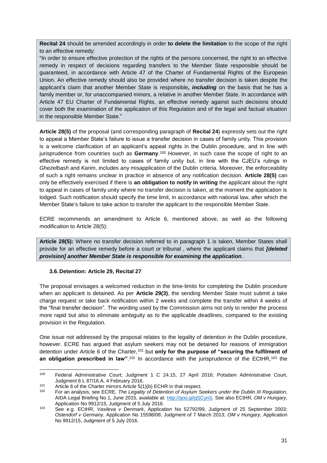**Recital 24** should be amended accordingly in order **to delete the limitation** to the scope of the right to an effective remedy:

"In order to ensure effective protection of the rights of the persons concerned, the right to an effective remedy in respect of decisions regarding transfers to the Member State responsible should be guaranteed, in accordance with Article 47 of the Charter of Fundamental Rights of the European Union. An effective remedy should also be provided where no transfer decision is taken despite the applicant's claim that another Member State is responsible*, including* on the basis that he has a family member or, for unaccompanied minors, a relative in another Member State. In accordance with Article 47 EU Charter of Fundamental Rights, an effective remedy against such decisions should cover both the examination of the application of this Regulation and of the legal and factual situation in the responsible Member State."

**Article 28(5)** of the proposal (and corresponding paragraph of **Recital 24**) expressly sets out the right to appeal a Member State's failure to issue a transfer decision in cases of family unity. This provision is a welcome clarification of an applicant's appeal rights in the Dublin procedure, and in line with jurisprudence from countries such as **Germany**. <sup>100</sup> However, in such case the scope of right to an effective remedy is not limited to cases of family unity but, in line with the CJEU's rulings in *Ghezelbash* and *Karim*, includes any misapplication of the Dublin criteria. Moreover, the enforceability of such a right remains unclear in practice in absence of any notification decision. **Article 28(5)** can only be effectively exercised if there is **an obligation to notify in writing** the applicant about the right to appeal in cases of family unity where no transfer decision is taken, at the moment the application is lodged. Such notification should specify the time limit, in accordance with national law, after which the Member State's failure to take action to transfer the applicant to the responsible Member State.

ECRE recommends an amendment to Article 6, mentioned above, as well as the following modification to Article 28(5):

**Article 28(5):** Where no transfer decision referred to in paragraph 1 is taken, Member States shall provide for an effective remedy before a court or tribunal , where the applicant claims that *[deleted provision] another Member State is responsible for examining the application*..

#### <span id="page-31-0"></span>**3.6.Detention: Article 29, Recital 27**

-

The proposal envisages a welcomed reduction in the time-limits for completing the Dublin procedure when an applicant is detained. As per **Article 29(3)**, the sending Member State must submit a take charge request or take back notification within 2 weeks and complete the transfer within 4 weeks of the "final transfer decision". The wording used by the Commission aims not only to render the process more rapid but also to eliminate ambiguity as to the applicable deadlines, compared to the existing provision in the Regulation.

One issue not addressed by the proposal relates to the legality of detention in the Dublin procedure, however. ECRE has argued that asylum seekers may not be detained for reasons of immigration detention under Article 6 of the Charter,<sup>101</sup> but only for the purpose of "securing the fulfilment of **an obligation prescribed in law**".<sup>102</sup> In accordance with the jurisprudence of the ECtHR,<sup>103</sup> the

<sup>100</sup> Federal Administrative Court; Judgment 1 C 24.15, 27 April 2016; Potsdam Administrative Court, Judgment 6 L 87/16.A, 4 February 2016.

<sup>101</sup> Article 6 of the Charter mirrors Article 5(1)(b) ECHR in that respect.

<sup>102</sup> For an analysis, see ECRE, *The Legality of Detention of Asylum Seekers under the Dublin III Regulation*, AIDA Legal Briefing No 1, June 2015, available at: [http://goo.gl/gSCynS.](http://goo.gl/gSCynS) See also ECtHR, *OM v Hungary*, Application No 9912/15, Judgment of 5 July 2016.

<sup>103</sup> See e.g. ECtHR, *Vasileva v Denmark*, Application No 52792/99, Judgment of 25 September 2003; *Ostendorf v Germany*, Application No 15598/08, Judgment of 7 March 2013; *OM v Hungary*, Application No 9912/15, Judgment of 5 July 2016.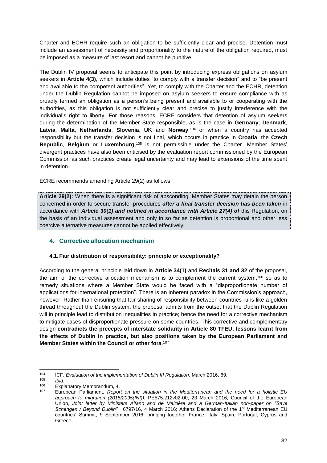Charter and ECHR require such an obligation to be sufficiently clear and precise. Detention must include an assessment of necessity and proportionality to the nature of the obligation required, must be imposed as a measure of last resort and cannot be punitive.

The Dublin IV proposal seems to anticipate this point by introducing express obligations on asylum seekers in **Article 4(3)**, which include duties "to comply with a transfer decision" and to "be present and available to the competent authorities". Yet, to comply with the Charter and the ECHR, detention under the Dublin Regulation cannot be imposed on asylum seekers to ensure compliance with as broadly termed an obligation as a person's being present and available to or cooperating with the authorities, as this obligation is not sufficiently clear and precise to justify interference with the individual's right to liberty. For those reasons, ECRE considers that detention of asylum seekers during the determination of the Member State responsible, as is the case in **Germany**, **Denmark**, **Latvia**, **Malta**, **Netherlands**, **Slovenia**, **UK** and **Norway**, <sup>104</sup> or when a country has accepted responsibility but the transfer decision is not final, which occurs in practice in **Croatia**, the **Czech Republic**, **Belgium** or **Luxembourg**, <sup>105</sup> is not permissible under the Charter. Member States' divergent practices have also been criticised by the evaluation report commissioned by the European Commission as such practices create legal uncertainty and may lead to extensions of the time spent in detention.

ECRE recommends amending Article 29(2) as follows:

**Article 29(2):** When there is a significant risk of absconding, Member States may detain the person concerned in order to secure transfer procedures *after a final transfer decision has been taken* in accordance with *Article 30(1) and notified in accordance with Article 27(4) of* this Regulation, on the basis of an individual assessment and only in so far as detention is proportional and other less coercive alternative measures cannot be applied effectively.

## <span id="page-32-0"></span>**4. Corrective allocation mechanism**

## <span id="page-32-1"></span>**4.1.Fair distribution of responsibility: principle or exceptionality?**

According to the general principle laid down in **Article 34(1)** and **Recitals 31 and 32** of the proposal, the aim of the corrective allocation mechanism is to complement the current system,<sup>106</sup> so as to remedy situations where a Member State would be faced with a "disproportionate number of applications for international protection". There is an inherent paradox in the Commission's approach, however. Rather than ensuring that fair sharing of responsibility between countries runs like a golden thread throughout the Dublin system, the proposal admits from the outset that the Dublin Regulation will in principle lead to distribution inequalities in practice; hence the need for a corrective mechanism to mitigate cases of disproportionate pressure on some countries. This corrective and complementary design **contradicts the precepts of interstate solidarity in Article 80 TFEU, lessons learnt from the effects of Dublin in practice, but also positions taken by the European Parliament and Member States within the Council or other fora**. 107

 $104$ <sup>104</sup> ICF, *Evaluation of the implementation of Dublin III Regulation*, March 2016, 69.

<sup>105</sup> *Ibid*.

 $106$  Explanatory Memorandum, 4.<br> $107$  European Barliament, Bener

<sup>107</sup> European Parliament, *Report on the situation in the Mediterranean and the need for a holistic EU approach to migration (2015/2095(INI))*, PE575.212v02-00, 23 March 2016; Council of the European Union, *Joint letter by Ministers Alfano and de Maizière and a German-Italian non-paper on "Save Schengen / Beyond Dublin"*, 6797/16, 4 March 2016; Athens Declaration of the 1st Mediterranean EU countries' Summit, 9 September 2016, bringing together France, Italy, Spain, Portugal, Cyprus and Greece.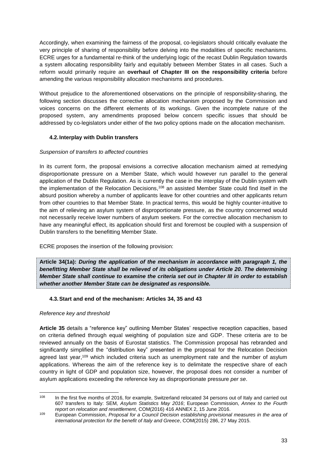Accordingly, when examining the fairness of the proposal, co-legislators should critically evaluate the very principle of sharing of responsibility before delving into the modalities of specific mechanisms. ECRE urges for a fundamental re-think of the underlying logic of the recast Dublin Regulation towards a system allocating responsibility fairly and equitably between Member States in all cases. Such a reform would primarily require an **overhaul of Chapter III on the responsibility criteria** before amending the various responsibility allocation mechanisms and procedures.

Without prejudice to the aforementioned observations on the principle of responsibility-sharing, the following section discusses the corrective allocation mechanism proposed by the Commission and voices concerns on the different elements of its workings. Given the incomplete nature of the proposed system, any amendments proposed below concern specific issues that should be addressed by co-legislators under either of the two policy options made on the allocation mechanism.

## <span id="page-33-0"></span>**4.2. Interplay with Dublin transfers**

## *Suspension of transfers to affected countries*

In its current form, the proposal envisions a corrective allocation mechanism aimed at remedying disproportionate pressure on a Member State, which would however run parallel to the general application of the Dublin Regulation. As is currently the case in the interplay of the Dublin system with the implementation of the Relocation Decisions,<sup>108</sup> an assisted Member State could find itself in the absurd position whereby a number of applicants leave for other countries and other applicants return from other countries to that Member State. In practical terms, this would be highly counter-intuitive to the aim of relieving an asylum system of disproportionate pressure, as the country concerned would not necessarily receive lower numbers of asylum seekers. For the corrective allocation mechanism to have any meaningful effect, its application should first and foremost be coupled with a suspension of Dublin transfers to the benefitting Member State.

ECRE proposes the insertion of the following provision:

**Article 34(1a):** *During the application of the mechanism in accordance with paragraph 1, the benefitting Member State shall be relieved of its obligations under Article 20. The determining Member State shall continue to examine the criteria set out in Chapter III in order to establish whether another Member State can be designated as responsible.*

#### <span id="page-33-1"></span>**4.3.Start and end of the mechanism: Articles 34, 35 and 43**

#### *Reference key and threshold*

**Article 35** details a "reference key" outlining Member States' respective reception capacities, based on criteria defined through equal weighting of population size and GDP. These criteria are to be reviewed annually on the basis of Eurostat statistics. The Commission proposal has rebranded and significantly simplified the "distribution key" presented in the proposal for the Relocation Decision agreed last year,<sup>109</sup> which included criteria such as unemployment rate and the number of asylum applications. Whereas the aim of the reference key is to delimitate the respective share of each country in light of GDP and population size, however, the proposal does not consider a number of asylum applications exceeding the reference key as disproportionate pressure *per se*.

<sup>108</sup> In the first five months of 2016, for example, Switzerland relocated 34 persons out of Italy and carried out 607 transfers to Italy: SEM, *Asylum Statistics May 2016*; European Commission, *Annex to the Fourth report on relocation and resettlement*, COM(2016) 416 ANNEX 2, 15 June 2016.

<sup>109</sup> European Commission, *Proposal for a Council Decision establishing provisional measures in the area of international protection for the benefit of Italy and Greece*, COM(2015) 286, 27 May 2015.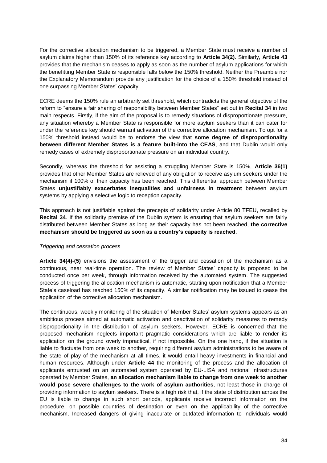For the corrective allocation mechanism to be triggered, a Member State must receive a number of asylum claims higher than 150% of its reference key according to **Article 34(2)**. Similarly, **Article 43** provides that the mechanism ceases to apply as soon as the number of asylum applications for which the benefitting Member State is responsible falls below the 150% threshold. Neither the Preamble nor the Explanatory Memorandum provide any justification for the choice of a 150% threshold instead of one surpassing Member States' capacity.

ECRE deems the 150% rule an arbitrarily set threshold, which contradicts the general objective of the reform to "ensure a fair sharing of responsibility between Member States" set out in **Recital 34** in two main respects. Firstly, if the aim of the proposal is to remedy situations of disproportionate pressure, any situation whereby a Member State is responsible for more asylum seekers than it can cater for under the reference key should warrant activation of the corrective allocation mechanism. To opt for a 150% threshold instead would be to endorse the view that **some degree of disproportionality between different Member States is a feature built-into the CEAS**, and that Dublin would only remedy cases of extremely disproportionate pressure on an individual country.

Secondly, whereas the threshold for assisting a struggling Member State is 150%, **Article 36(1)**  provides that other Member States are relieved of any obligation to receive asylum seekers under the mechanism if 100% of their capacity has been reached. This differential approach between Member States **unjustifiably exacerbates inequalities and unfairness in treatment** between asylum systems by applying a selective logic to reception capacity.

This approach is not justifiable against the precepts of solidarity under Article 80 TFEU, recalled by **Recital 34**. If the solidarity premise of the Dublin system is ensuring that asylum seekers are fairly distributed between Member States as long as their capacity has not been reached, **the corrective mechanism should be triggered as soon as a country's capacity is reached**.

#### *Triggering and cessation process*

**Article 34(4)-(5)** envisions the assessment of the trigger and cessation of the mechanism as a continuous, near real-time operation. The review of Member States' capacity is proposed to be conducted once per week, through information received by the automated system. The suggested process of triggering the allocation mechanism is automatic, starting upon notification that a Member State's caseload has reached 150% of its capacity. A similar notification may be issued to cease the application of the corrective allocation mechanism.

The continuous, weekly monitoring of the situation of Member States' asylum systems appears as an ambitious process aimed at automatic activation and deactivation of solidarity measures to remedy disproportionality in the distribution of asylum seekers. However, ECRE is concerned that the proposed mechanism neglects important pragmatic considerations which are liable to render its application on the ground overly impractical, if not impossible. On the one hand, if the situation is liable to fluctuate from one week to another, requiring different asylum administrations to be aware of the state of play of the mechanism at all times, it would entail heavy investments in financial and human resources. Although under **Article 44** the monitoring of the process and the allocation of applicants entrusted on an automated system operated by EU-LISA and national infrastructures operated by Member States, **an allocation mechanism liable to change from one week to another would pose severe challenges to the work of asylum authorities**, not least those in charge of providing information to asylum seekers. There is a high risk that, if the state of distribution across the EU is liable to change in such short periods, applicants receive incorrect information on the procedure, on possible countries of destination or even on the applicability of the corrective mechanism. Increased dangers of giving inaccurate or outdated information to individuals would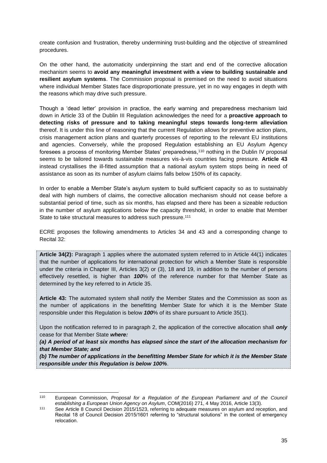create confusion and frustration, thereby undermining trust-building and the objective of streamlined procedures.

On the other hand, the automaticity underpinning the start and end of the corrective allocation mechanism seems to **avoid any meaningful investment with a view to building sustainable and resilient asylum systems**. The Commission proposal is premised on the need to avoid situations where individual Member States face disproportionate pressure, yet in no way engages in depth with the reasons which may drive such pressure.

Though a 'dead letter' provision in practice, the early warning and preparedness mechanism laid down in Article 33 of the Dublin III Regulation acknowledges the need for a **proactive approach to detecting risks of pressure and to taking meaningful steps towards long-term alleviation** thereof. It is under this line of reasoning that the current Regulation allows for preventive action plans, crisis management action plans and quarterly processes of reporting to the relevant EU institutions and agencies. Conversely, while the proposed Regulation establishing an EU Asylum Agency foresees a process of monitoring Member States' preparedness,<sup>110</sup> nothing in the Dublin IV proposal seems to be tailored towards sustainable measures vis-à-vis countries facing pressure. **Article 43** instead crystallises the ill-fitted assumption that a national asylum system stops being in need of assistance as soon as its number of asylum claims falls below 150% of its capacity.

In order to enable a Member State's asylum system to build sufficient capacity so as to sustainably deal with high numbers of claims, the corrective allocation mechanism should not cease before a substantial period of time, such as six months, has elapsed and there has been a sizeable reduction in the number of asylum applications below the capacity threshold, in order to enable that Member State to take structural measures to address such pressure.<sup>111</sup>

ECRE proposes the following amendments to Articles 34 and 43 and a corresponding change to Recital 32:

**Article 34(2):** Paragraph 1 applies where the automated system referred to in Article 44(1) indicates that the number of applications for international protection for which a Member State is responsible under the criteria in Chapter III, Articles 3(2) or (3), 18 and 19, in addition to the number of persons effectively resettled, is higher than *100*% of the reference number for that Member State as determined by the key referred to in Article 35.

**Article 43:** The automated system shall notify the Member States and the Commission as soon as the number of applications in the benefitting Member State for which it is the Member State responsible under this Regulation is below *100*% of its share pursuant to Article 35(1).

Upon the notification referred to in paragraph 2, the application of the corrective allocation shall *only*  cease for that Member State *where:* 

*(a) A period of at least six months has elapsed since the start of the allocation mechanism for that Member State; and*

*(b) The number of applications in the benefitting Member State for which it is the Member State responsible under this Regulation is below 100%*.

<sup>110</sup> <sup>110</sup> European Commission, *Proposal for a Regulation of the European Parliament and of the Council establishing a European Union Agency on Asylum*, COM(2016) 271, 4 May 2016, Article 13(3).

<sup>111</sup> See Article 8 Council Decision 2015/1523, referring to adequate measures on asylum and reception, and Recital 18 of Council Decision 2015/1601 referring to "structural solutions" in the context of emergency relocation.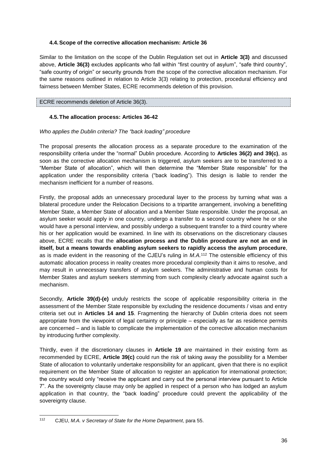## <span id="page-36-0"></span>**4.4.Scope of the corrective allocation mechanism: Article 36**

Similar to the limitation on the scope of the Dublin Regulation set out in **Article 3(3)** and discussed above, **Article 36(3)** excludes applicants who fall within "first country of asylum", "safe third country", "safe country of origin" or security grounds from the scope of the corrective allocation mechanism. For the same reasons outlined in relation to Article 3(3) relating to protection, procedural efficiency and fairness between Member States, ECRE recommends deletion of this provision.

## ECRE recommends deletion of Article 36(3).

## <span id="page-36-1"></span>**4.5.The allocation process: Articles 36-42**

#### *Who applies the Dublin criteria? The "back loading" procedure*

The proposal presents the allocation process as a separate procedure to the examination of the responsibility criteria under the "normal" Dublin procedure. According to **Articles 36(2) and 39(c)**, as soon as the corrective allocation mechanism is triggered, asylum seekers are to be transferred to a "Member State of allocation", which will then determine the "Member State responsible" for the application under the responsibility criteria ("back loading"). This design is liable to render the mechanism inefficient for a number of reasons.

Firstly, the proposal adds an unnecessary procedural layer to the process by turning what was a bilateral procedure under the Relocation Decisions to a tripartite arrangement, involving a benefitting Member State, a Member State of allocation and a Member State responsible. Under the proposal, an asylum seeker would apply in one country, undergo a transfer to a second country where he or she would have a personal interview, and possibly undergo a subsequent transfer to a third country where his or her application would be examined. In line with its observations on the discretionary clauses above, ECRE recalls that the **allocation process and the Dublin procedure are not an end in itself, but a means towards enabling asylum seekers to rapidly access the asylum procedure**, as is made evident in the reasoning of the CJEU's ruling in *M.A.*<sup>112</sup> The ostensible efficiency of this automatic allocation process in reality creates more procedural complexity than it aims to resolve, and may result in unnecessary transfers of asylum seekers. The administrative and human costs for Member States and asylum seekers stemming from such complexity clearly advocate against such a mechanism.

Secondly, **Article 39(d)-(e)** unduly restricts the scope of applicable responsibility criteria in the assessment of the Member State responsible by excluding the residence documents / visas and entry criteria set out in **Articles 14 and 15**. Fragmenting the hierarchy of Dublin criteria does not seem appropriate from the viewpoint of legal certainty or principle – especially as far as residence permits are concerned – and is liable to complicate the implementation of the corrective allocation mechanism by introducing further complexity.

Thirdly, even if the discretionary clauses in **Article 19** are maintained in their existing form as recommended by ECRE, **Article 39(c)** could run the risk of taking away the possibility for a Member State of allocation to voluntarily undertake responsibility for an applicant, given that there is no explicit requirement on the Member State of allocation to register an application for international protection; the country would only "receive the applicant and carry out the personal interview pursuant to Article 7". As the sovereignty clause may only be applied in respect of a person who has lodged an asylum application in that country, the "back loading" procedure could prevent the applicability of the sovereignty clause.

 $112$ <sup>112</sup> CJEU, *M.A. v Secretary of State for the Home Department*, para 55.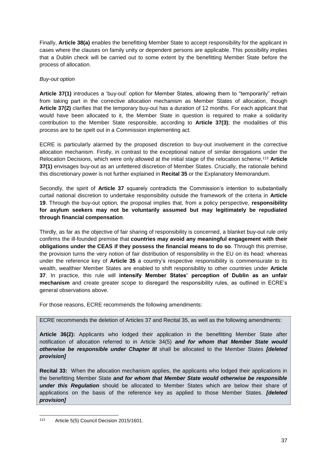Finally, **Article 38(a)** enables the benefitting Member State to accept responsibility for the applicant in cases where the clauses on family unity or dependent persons are applicable. This possibility implies that a Dublin check will be carried out to some extent by the benefitting Member State before the process of allocation.

## *Buy-out option*

**Article 37(1)** introduces a 'buy-out' option for Member States, allowing them to "temporarily" refrain from taking part in the corrective allocation mechanism as Member States of allocation, though **Article 37(2)** clarifies that the temporary buy-out has a duration of 12 months. For each applicant that would have been allocated to it, the Member State in question is required to make a solidarity contribution to the Member State responsible, according to **Article 37(3)**; the modalities of this process are to be spelt out in a Commission implementing act.

ECRE is particularly alarmed by the proposed discretion to buy-out involvement in the corrective allocation mechanism. Firstly, in contrast to the exceptional nature of similar derogations under the Relocation Decisions, which were only allowed at the initial stage of the relocation scheme,<sup>113</sup> **Article 37(1)** envisages buy-out as an unfettered discretion of Member States. Crucially, the rationale behind this discretionary power is not further explained in **Recital 35** or the Explanatory Memorandum.

Secondly, the spirit of **Article 37** squarely contradicts the Commission's intention to substantially curtail national discretion to undertake responsibility outside the framework of the criteria in **Article 19**. Through the buy-out option, the proposal implies that, from a policy perspective, **responsibility for asylum seekers may not be voluntarily assumed but may legitimately be repudiated through financial compensation**.

Thirdly, as far as the objective of fair sharing of responsibility is concerned, a blanket buy-out rule only confirms the ill-founded premise that **countries may avoid any meaningful engagement with their obligations under the CEAS if they possess the financial means to do so**. Through this premise, the provision turns the very notion of fair distribution of responsibility in the EU on its head: whereas under the reference key of **Article 35** a country's respective responsibility is commensurate to its wealth, wealthier Member States are enabled to shift responsibility to other countries under **Article 37**. In practice, this rule will **intensify Member States' perception of Dublin as an unfair mechanism** and create greater scope to disregard the responsibility rules, as outlined in ECRE's general observations above.

For those reasons, ECRE recommends the following amendments:

ECRE recommends the deletion of Articles 37 and Recital 35, as well as the following amendments:

**Article 36(2):** Applicants who lodged their application in the benefitting Member State after notification of allocation referred to in Article 34(5) *and for whom that Member State would otherwise be responsible under Chapter III* shall be allocated to the Member States *[deleted provision]* 

**Recital 33:** When the allocation mechanism applies, the applicants who lodged their applications in the benefitting Member State *and for whom that Member State would otherwise be responsible under this Regulation* should be allocated to Member States which are below their share of applications on the basis of the reference key as applied to those Member States. *[deleted provision]* 

<sup>113</sup> Article 5(5) Council Decision 2015/1601.